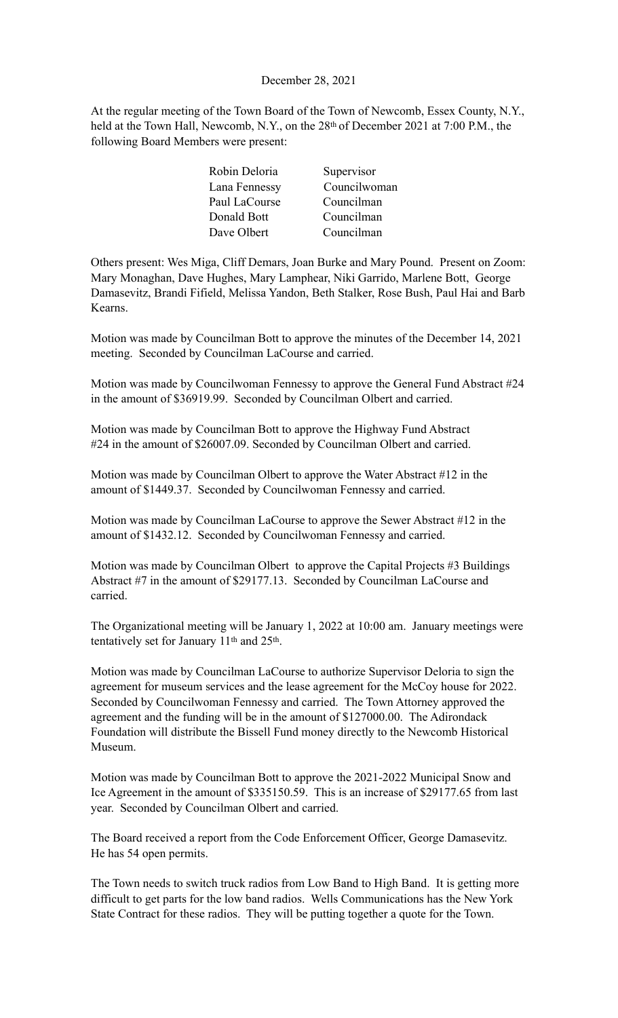### December 28, 2021

At the regular meeting of the Town Board of the Town of Newcomb, Essex County, N.Y., held at the Town Hall, Newcomb, N.Y., on the 28<sup>th</sup> of December 2021 at 7:00 P.M., the following Board Members were present:

| Robin Deloria | Supervisor   |
|---------------|--------------|
| Lana Fennessy | Councilwoman |
| Paul LaCourse | Councilman   |
| Donald Bott   | Councilman   |
| Dave Olbert   | Councilman   |

Others present: Wes Miga, Cliff Demars, Joan Burke and Mary Pound. Present on Zoom: Mary Monaghan, Dave Hughes, Mary Lamphear, Niki Garrido, Marlene Bott, George Damasevitz, Brandi Fifield, Melissa Yandon, Beth Stalker, Rose Bush, Paul Hai and Barb Kearns.

Motion was made by Councilman Bott to approve the minutes of the December 14, 2021 meeting. Seconded by Councilman LaCourse and carried.

Motion was made by Councilwoman Fennessy to approve the General Fund Abstract #24 in the amount of \$36919.99. Seconded by Councilman Olbert and carried.

Motion was made by Councilman Bott to approve the Highway Fund Abstract #24 in the amount of \$26007.09. Seconded by Councilman Olbert and carried.

Motion was made by Councilman Olbert to approve the Water Abstract #12 in the amount of \$1449.37. Seconded by Councilwoman Fennessy and carried.

Motion was made by Councilman LaCourse to approve the Sewer Abstract #12 in the amount of \$1432.12. Seconded by Councilwoman Fennessy and carried.

Motion was made by Councilman Olbert to approve the Capital Projects #3 Buildings Abstract #7 in the amount of \$29177.13. Seconded by Councilman LaCourse and carried.

The Organizational meeting will be January 1, 2022 at 10:00 am. January meetings were tentatively set for January 11th and 25th.

Motion was made by Councilman LaCourse to authorize Supervisor Deloria to sign the agreement for museum services and the lease agreement for the McCoy house for 2022. Seconded by Councilwoman Fennessy and carried. The Town Attorney approved the agreement and the funding will be in the amount of \$127000.00. The Adirondack Foundation will distribute the Bissell Fund money directly to the Newcomb Historical Museum.

Motion was made by Councilman Bott to approve the 2021-2022 Municipal Snow and Ice Agreement in the amount of \$335150.59. This is an increase of \$29177.65 from last year. Seconded by Councilman Olbert and carried.

The Board received a report from the Code Enforcement Officer, George Damasevitz. He has 54 open permits.

The Town needs to switch truck radios from Low Band to High Band. It is getting more difficult to get parts for the low band radios. Wells Communications has the New York State Contract for these radios. They will be putting together a quote for the Town.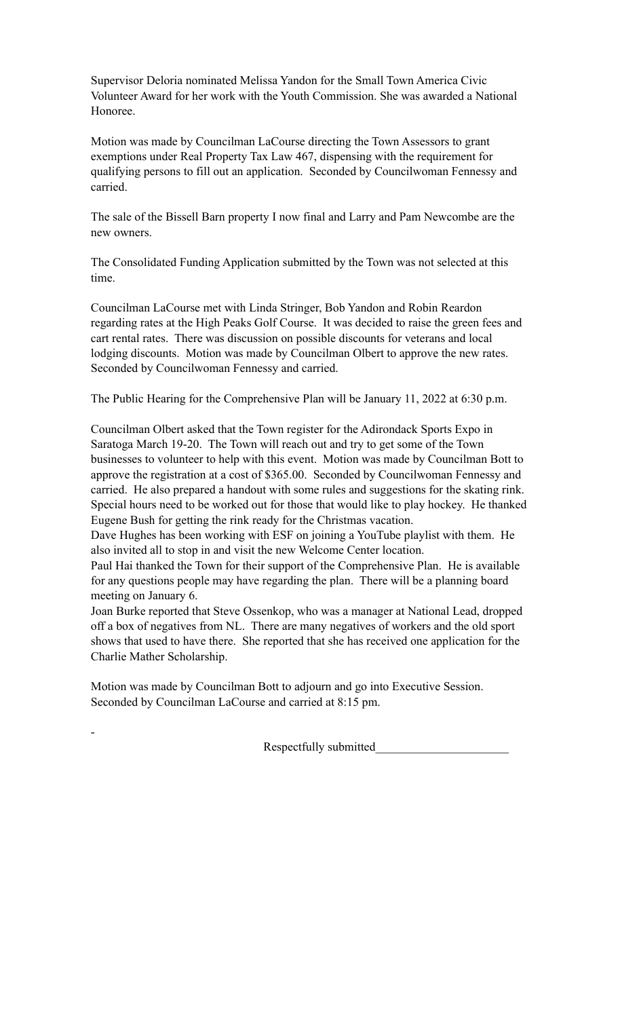Supervisor Deloria nominated Melissa Yandon for the Small Town America Civic Volunteer Award for her work with the Youth Commission. She was awarded a National Honoree.

Motion was made by Councilman LaCourse directing the Town Assessors to grant exemptions under Real Property Tax Law 467, dispensing with the requirement for qualifying persons to fill out an application. Seconded by Councilwoman Fennessy and carried.

The sale of the Bissell Barn property I now final and Larry and Pam Newcombe are the new owners.

The Consolidated Funding Application submitted by the Town was not selected at this time.

Councilman LaCourse met with Linda Stringer, Bob Yandon and Robin Reardon regarding rates at the High Peaks Golf Course. It was decided to raise the green fees and cart rental rates. There was discussion on possible discounts for veterans and local lodging discounts. Motion was made by Councilman Olbert to approve the new rates. Seconded by Councilwoman Fennessy and carried.

The Public Hearing for the Comprehensive Plan will be January 11, 2022 at 6:30 p.m.

Councilman Olbert asked that the Town register for the Adirondack Sports Expo in Saratoga March 19-20. The Town will reach out and try to get some of the Town businesses to volunteer to help with this event. Motion was made by Councilman Bott to approve the registration at a cost of \$365.00. Seconded by Councilwoman Fennessy and carried. He also prepared a handout with some rules and suggestions for the skating rink. Special hours need to be worked out for those that would like to play hockey. He thanked Eugene Bush for getting the rink ready for the Christmas vacation.

Dave Hughes has been working with ESF on joining a YouTube playlist with them. He also invited all to stop in and visit the new Welcome Center location.

Paul Hai thanked the Town for their support of the Comprehensive Plan. He is available for any questions people may have regarding the plan. There will be a planning board meeting on January 6.

Joan Burke reported that Steve Ossenkop, who was a manager at National Lead, dropped off a box of negatives from NL. There are many negatives of workers and the old sport shows that used to have there. She reported that she has received one application for the Charlie Mather Scholarship.

Motion was made by Councilman Bott to adjourn and go into Executive Session. Seconded by Councilman LaCourse and carried at 8:15 pm.

-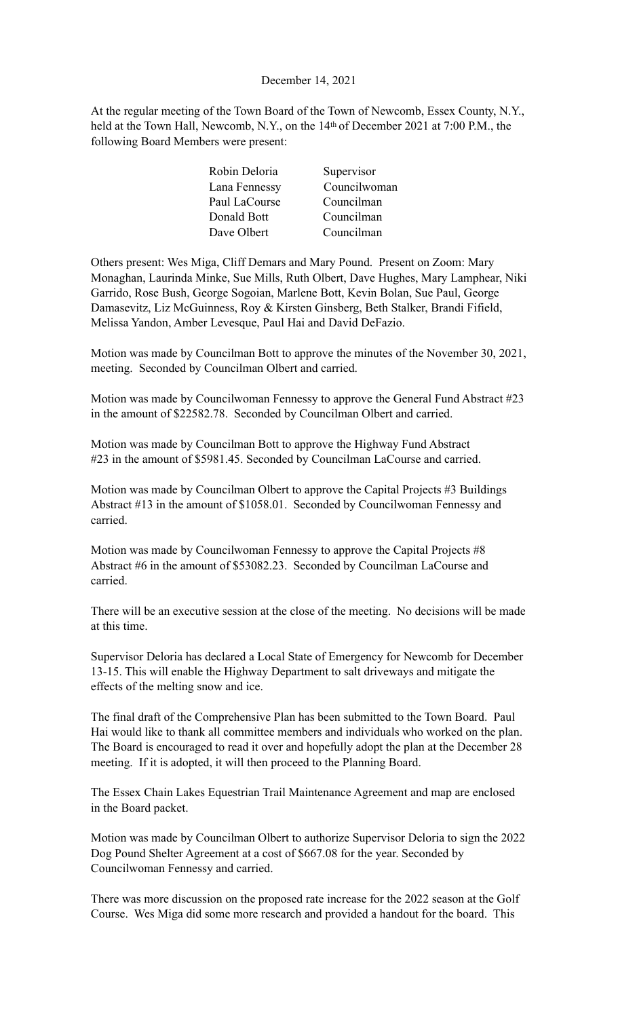### December 14, 2021

At the regular meeting of the Town Board of the Town of Newcomb, Essex County, N.Y., held at the Town Hall, Newcomb, N.Y., on the 14<sup>th</sup> of December 2021 at 7:00 P.M., the following Board Members were present:

| Robin Deloria<br>Supervisor   |
|-------------------------------|
| Councilwoman<br>Lana Fennessy |
| Councilman<br>Paul LaCourse   |
| Councilman<br>Donald Bott     |
| Councilman<br>Dave Olbert     |
|                               |

Others present: Wes Miga, Cliff Demars and Mary Pound. Present on Zoom: Mary Monaghan, Laurinda Minke, Sue Mills, Ruth Olbert, Dave Hughes, Mary Lamphear, Niki Garrido, Rose Bush, George Sogoian, Marlene Bott, Kevin Bolan, Sue Paul, George Damasevitz, Liz McGuinness, Roy & Kirsten Ginsberg, Beth Stalker, Brandi Fifield, Melissa Yandon, Amber Levesque, Paul Hai and David DeFazio.

Motion was made by Councilman Bott to approve the minutes of the November 30, 2021, meeting. Seconded by Councilman Olbert and carried.

Motion was made by Councilwoman Fennessy to approve the General Fund Abstract #23 in the amount of \$22582.78. Seconded by Councilman Olbert and carried.

Motion was made by Councilman Bott to approve the Highway Fund Abstract #23 in the amount of \$5981.45. Seconded by Councilman LaCourse and carried.

Motion was made by Councilman Olbert to approve the Capital Projects #3 Buildings Abstract #13 in the amount of \$1058.01. Seconded by Councilwoman Fennessy and carried.

Motion was made by Councilwoman Fennessy to approve the Capital Projects #8 Abstract #6 in the amount of \$53082.23. Seconded by Councilman LaCourse and carried.

There will be an executive session at the close of the meeting. No decisions will be made at this time.

Supervisor Deloria has declared a Local State of Emergency for Newcomb for December 13-15. This will enable the Highway Department to salt driveways and mitigate the effects of the melting snow and ice.

The final draft of the Comprehensive Plan has been submitted to the Town Board. Paul Hai would like to thank all committee members and individuals who worked on the plan. The Board is encouraged to read it over and hopefully adopt the plan at the December 28 meeting. If it is adopted, it will then proceed to the Planning Board.

The Essex Chain Lakes Equestrian Trail Maintenance Agreement and map are enclosed in the Board packet.

Motion was made by Councilman Olbert to authorize Supervisor Deloria to sign the 2022 Dog Pound Shelter Agreement at a cost of \$667.08 for the year. Seconded by Councilwoman Fennessy and carried.

There was more discussion on the proposed rate increase for the 2022 season at the Golf Course. Wes Miga did some more research and provided a handout for the board. This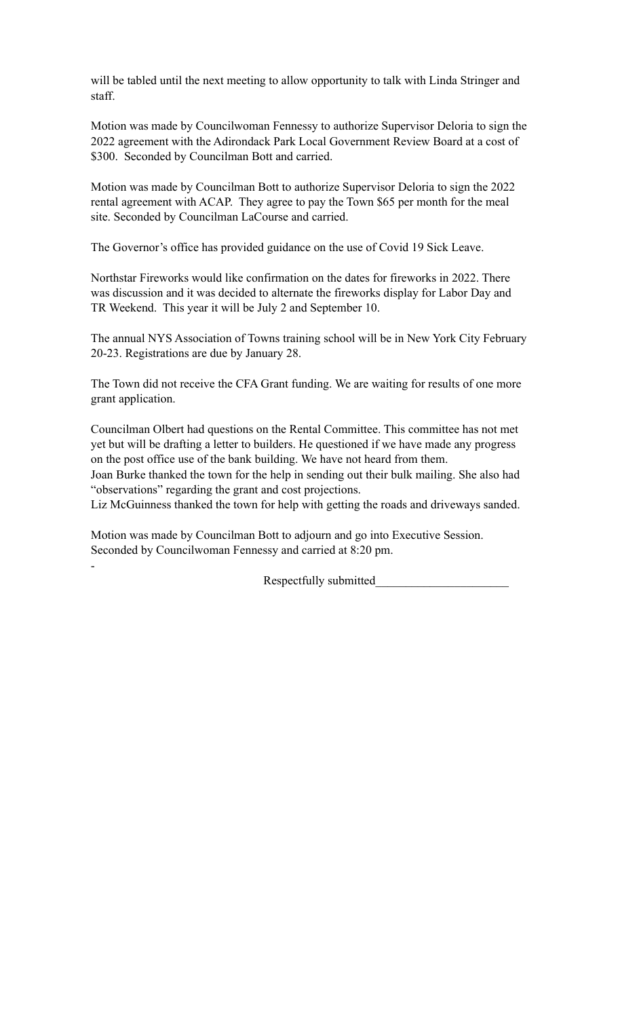will be tabled until the next meeting to allow opportunity to talk with Linda Stringer and staff.

Motion was made by Councilwoman Fennessy to authorize Supervisor Deloria to sign the 2022 agreement with the Adirondack Park Local Government Review Board at a cost of \$300. Seconded by Councilman Bott and carried.

Motion was made by Councilman Bott to authorize Supervisor Deloria to sign the 2022 rental agreement with ACAP. They agree to pay the Town \$65 per month for the meal site. Seconded by Councilman LaCourse and carried.

The Governor's office has provided guidance on the use of Covid 19 Sick Leave.

Northstar Fireworks would like confirmation on the dates for fireworks in 2022. There was discussion and it was decided to alternate the fireworks display for Labor Day and TR Weekend. This year it will be July 2 and September 10.

The annual NYS Association of Towns training school will be in New York City February 20-23. Registrations are due by January 28.

The Town did not receive the CFA Grant funding. We are waiting for results of one more grant application.

Councilman Olbert had questions on the Rental Committee. This committee has not met yet but will be drafting a letter to builders. He questioned if we have made any progress on the post office use of the bank building. We have not heard from them.

Joan Burke thanked the town for the help in sending out their bulk mailing. She also had "observations" regarding the grant and cost projections.

Liz McGuinness thanked the town for help with getting the roads and driveways sanded.

Motion was made by Councilman Bott to adjourn and go into Executive Session. Seconded by Councilwoman Fennessy and carried at 8:20 pm.

-

Respectfully submitted\_\_\_\_\_\_\_\_\_\_\_\_\_\_\_\_\_\_\_\_\_\_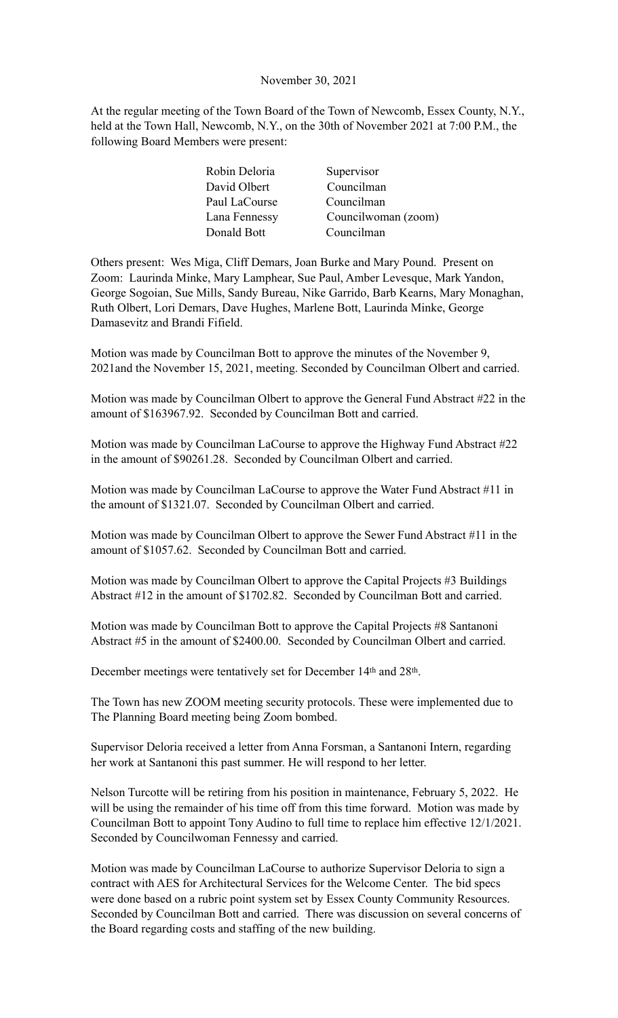#### November 30, 2021

At the regular meeting of the Town Board of the Town of Newcomb, Essex County, N.Y., held at the Town Hall, Newcomb, N.Y., on the 30th of November 2021 at 7:00 P.M., the following Board Members were present:

| Robin Deloria | Supervisor          |
|---------------|---------------------|
| David Olbert  | Councilman          |
| Paul LaCourse | Councilman          |
| Lana Fennessy | Councilwoman (zoom) |
| Donald Bott   | Councilman          |

Others present: Wes Miga, Cliff Demars, Joan Burke and Mary Pound. Present on Zoom: Laurinda Minke, Mary Lamphear, Sue Paul, Amber Levesque, Mark Yandon, George Sogoian, Sue Mills, Sandy Bureau, Nike Garrido, Barb Kearns, Mary Monaghan, Ruth Olbert, Lori Demars, Dave Hughes, Marlene Bott, Laurinda Minke, George Damasevitz and Brandi Fifield.

Motion was made by Councilman Bott to approve the minutes of the November 9, 2021and the November 15, 2021, meeting. Seconded by Councilman Olbert and carried.

Motion was made by Councilman Olbert to approve the General Fund Abstract #22 in the amount of \$163967.92. Seconded by Councilman Bott and carried.

Motion was made by Councilman LaCourse to approve the Highway Fund Abstract #22 in the amount of \$90261.28. Seconded by Councilman Olbert and carried.

Motion was made by Councilman LaCourse to approve the Water Fund Abstract #11 in the amount of \$1321.07. Seconded by Councilman Olbert and carried.

Motion was made by Councilman Olbert to approve the Sewer Fund Abstract #11 in the amount of \$1057.62. Seconded by Councilman Bott and carried.

Motion was made by Councilman Olbert to approve the Capital Projects #3 Buildings Abstract #12 in the amount of \$1702.82. Seconded by Councilman Bott and carried.

Motion was made by Councilman Bott to approve the Capital Projects #8 Santanoni Abstract #5 in the amount of \$2400.00. Seconded by Councilman Olbert and carried.

December meetings were tentatively set for December 14<sup>th</sup> and 28<sup>th</sup>.

The Town has new ZOOM meeting security protocols. These were implemented due to The Planning Board meeting being Zoom bombed.

Supervisor Deloria received a letter from Anna Forsman, a Santanoni Intern, regarding her work at Santanoni this past summer. He will respond to her letter.

Nelson Turcotte will be retiring from his position in maintenance, February 5, 2022. He will be using the remainder of his time off from this time forward. Motion was made by Councilman Bott to appoint Tony Audino to full time to replace him effective 12/1/2021. Seconded by Councilwoman Fennessy and carried.

Motion was made by Councilman LaCourse to authorize Supervisor Deloria to sign a contract with AES for Architectural Services for the Welcome Center. The bid specs were done based on a rubric point system set by Essex County Community Resources. Seconded by Councilman Bott and carried. There was discussion on several concerns of the Board regarding costs and staffing of the new building.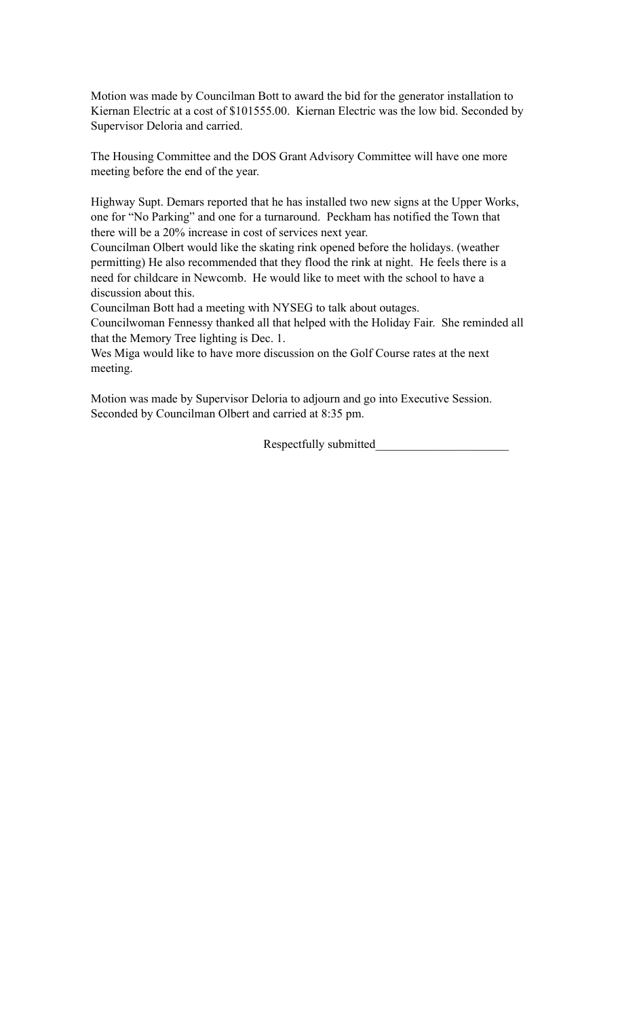Motion was made by Councilman Bott to award the bid for the generator installation to Kiernan Electric at a cost of \$101555.00. Kiernan Electric was the low bid. Seconded by Supervisor Deloria and carried.

The Housing Committee and the DOS Grant Advisory Committee will have one more meeting before the end of the year.

Highway Supt. Demars reported that he has installed two new signs at the Upper Works, one for "No Parking" and one for a turnaround. Peckham has notified the Town that there will be a 20% increase in cost of services next year.

Councilman Olbert would like the skating rink opened before the holidays. (weather permitting) He also recommended that they flood the rink at night. He feels there is a need for childcare in Newcomb. He would like to meet with the school to have a discussion about this.

Councilman Bott had a meeting with NYSEG to talk about outages.

Councilwoman Fennessy thanked all that helped with the Holiday Fair. She reminded all that the Memory Tree lighting is Dec. 1.

Wes Miga would like to have more discussion on the Golf Course rates at the next meeting.

Motion was made by Supervisor Deloria to adjourn and go into Executive Session. Seconded by Councilman Olbert and carried at 8:35 pm.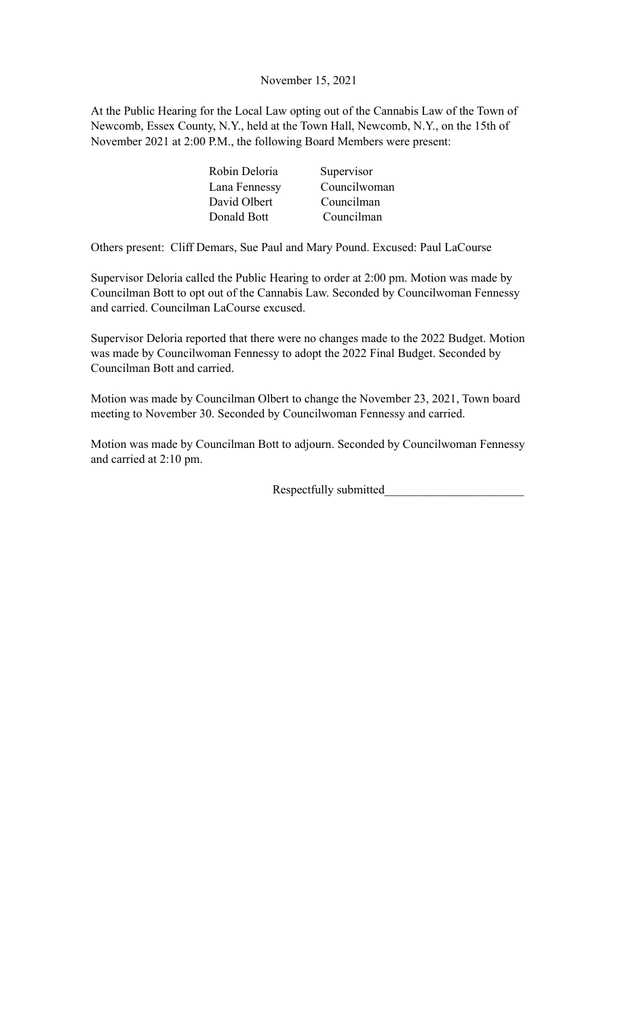November 15, 2021

At the Public Hearing for the Local Law opting out of the Cannabis Law of the Town of Newcomb, Essex County, N.Y., held at the Town Hall, Newcomb, N.Y., on the 15th of November 2021 at 2:00 P.M., the following Board Members were present:

| Robin Deloria | Supervisor   |
|---------------|--------------|
| Lana Fennessy | Councilwoman |
| David Olbert  | Councilman   |
| Donald Bott   | Councilman   |

Others present: Cliff Demars, Sue Paul and Mary Pound. Excused: Paul LaCourse

Supervisor Deloria called the Public Hearing to order at 2:00 pm. Motion was made by Councilman Bott to opt out of the Cannabis Law. Seconded by Councilwoman Fennessy and carried. Councilman LaCourse excused.

Supervisor Deloria reported that there were no changes made to the 2022 Budget. Motion was made by Councilwoman Fennessy to adopt the 2022 Final Budget. Seconded by Councilman Bott and carried.

Motion was made by Councilman Olbert to change the November 23, 2021, Town board meeting to November 30. Seconded by Councilwoman Fennessy and carried.

Motion was made by Councilman Bott to adjourn. Seconded by Councilwoman Fennessy and carried at 2:10 pm.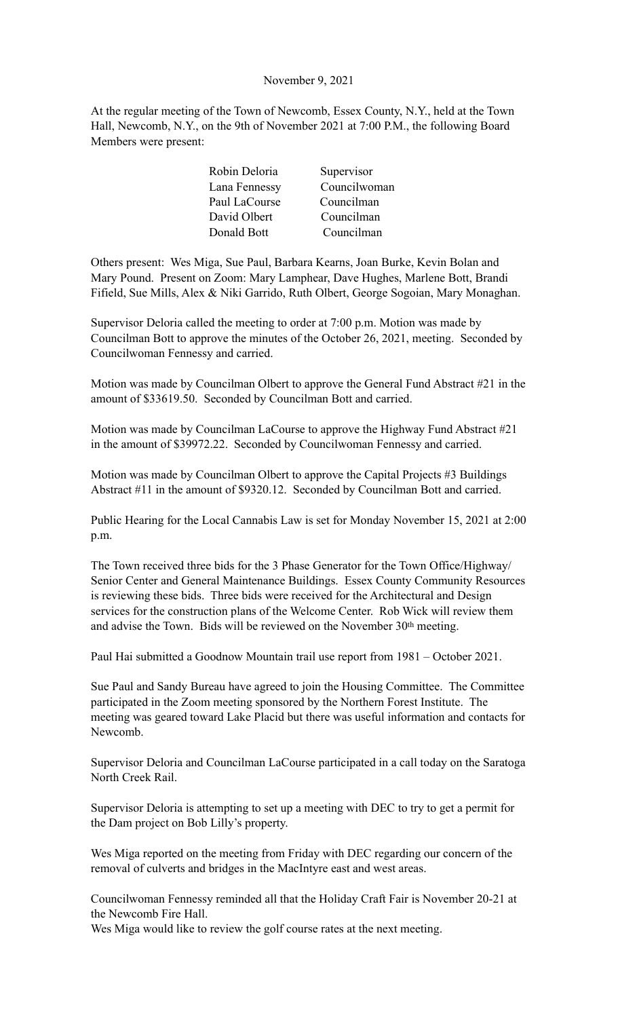### November 9, 2021

At the regular meeting of the Town of Newcomb, Essex County, N.Y., held at the Town Hall, Newcomb, N.Y., on the 9th of November 2021 at 7:00 P.M., the following Board Members were present:

| Robin Deloria | Supervisor   |
|---------------|--------------|
| Lana Fennessy | Councilwoman |
| Paul LaCourse | Councilman   |
| David Olbert  | Councilman   |
| Donald Bott   | Councilman   |

Others present: Wes Miga, Sue Paul, Barbara Kearns, Joan Burke, Kevin Bolan and Mary Pound. Present on Zoom: Mary Lamphear, Dave Hughes, Marlene Bott, Brandi Fifield, Sue Mills, Alex & Niki Garrido, Ruth Olbert, George Sogoian, Mary Monaghan.

Supervisor Deloria called the meeting to order at 7:00 p.m. Motion was made by Councilman Bott to approve the minutes of the October 26, 2021, meeting. Seconded by Councilwoman Fennessy and carried.

Motion was made by Councilman Olbert to approve the General Fund Abstract #21 in the amount of \$33619.50. Seconded by Councilman Bott and carried.

Motion was made by Councilman LaCourse to approve the Highway Fund Abstract #21 in the amount of \$39972.22. Seconded by Councilwoman Fennessy and carried.

Motion was made by Councilman Olbert to approve the Capital Projects #3 Buildings Abstract #11 in the amount of \$9320.12. Seconded by Councilman Bott and carried.

Public Hearing for the Local Cannabis Law is set for Monday November 15, 2021 at 2:00 p.m.

The Town received three bids for the 3 Phase Generator for the Town Office/Highway/ Senior Center and General Maintenance Buildings. Essex County Community Resources is reviewing these bids. Three bids were received for the Architectural and Design services for the construction plans of the Welcome Center. Rob Wick will review them and advise the Town. Bids will be reviewed on the November 30th meeting.

Paul Hai submitted a Goodnow Mountain trail use report from 1981 – October 2021.

Sue Paul and Sandy Bureau have agreed to join the Housing Committee. The Committee participated in the Zoom meeting sponsored by the Northern Forest Institute. The meeting was geared toward Lake Placid but there was useful information and contacts for Newcomb.

Supervisor Deloria and Councilman LaCourse participated in a call today on the Saratoga North Creek Rail.

Supervisor Deloria is attempting to set up a meeting with DEC to try to get a permit for the Dam project on Bob Lilly's property.

Wes Miga reported on the meeting from Friday with DEC regarding our concern of the removal of culverts and bridges in the MacIntyre east and west areas.

Councilwoman Fennessy reminded all that the Holiday Craft Fair is November 20-21 at the Newcomb Fire Hall.

Wes Miga would like to review the golf course rates at the next meeting.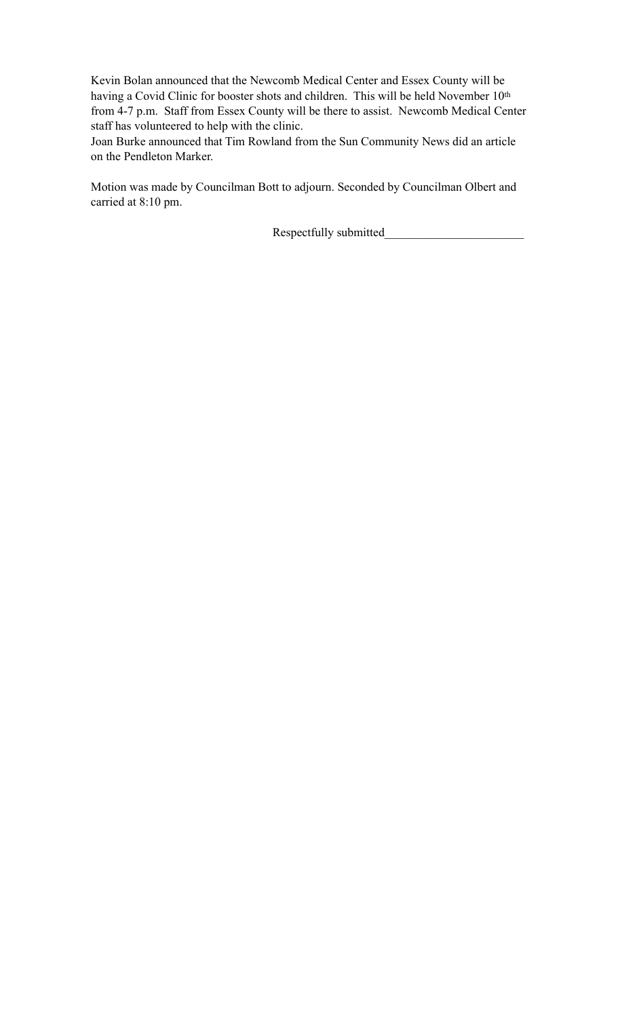Kevin Bolan announced that the Newcomb Medical Center and Essex County will be having a Covid Clinic for booster shots and children. This will be held November 10<sup>th</sup> from 4-7 p.m. Staff from Essex County will be there to assist. Newcomb Medical Center staff has volunteered to help with the clinic.

Joan Burke announced that Tim Rowland from the Sun Community News did an article on the Pendleton Marker.

Motion was made by Councilman Bott to adjourn. Seconded by Councilman Olbert and carried at 8:10 pm.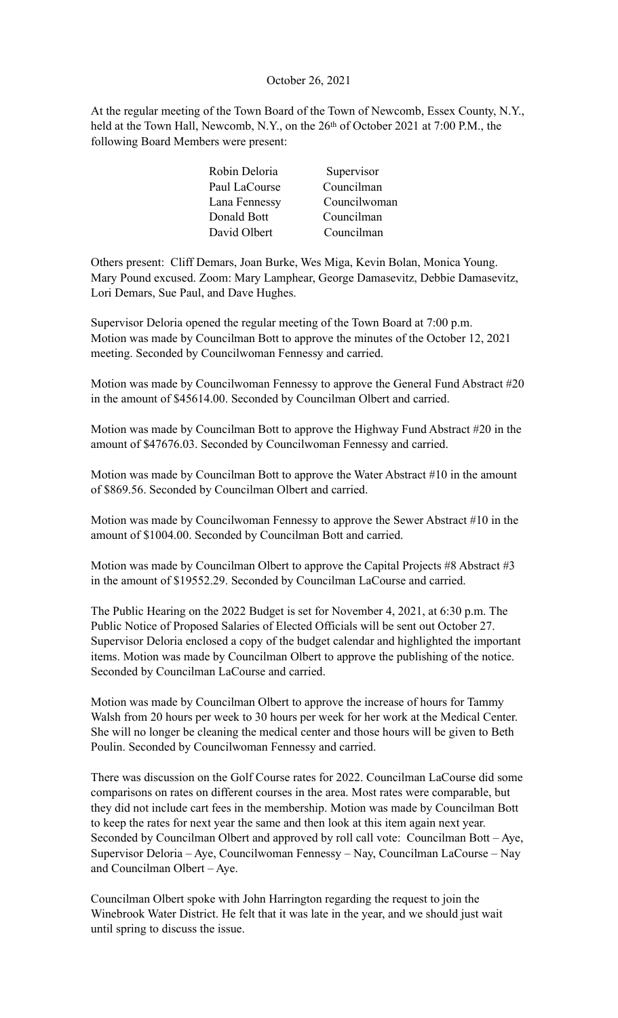### October 26, 2021

At the regular meeting of the Town Board of the Town of Newcomb, Essex County, N.Y., held at the Town Hall, Newcomb, N.Y., on the 26<sup>th</sup> of October 2021 at 7:00 P.M., the following Board Members were present:

| Robin Deloria | Supervisor   |
|---------------|--------------|
| Paul LaCourse | Councilman   |
| Lana Fennessy | Councilwoman |
| Donald Bott   | Councilman   |
| David Olbert  | Councilman   |

Others present: Cliff Demars, Joan Burke, Wes Miga, Kevin Bolan, Monica Young. Mary Pound excused. Zoom: Mary Lamphear, George Damasevitz, Debbie Damasevitz, Lori Demars, Sue Paul, and Dave Hughes.

Supervisor Deloria opened the regular meeting of the Town Board at 7:00 p.m. Motion was made by Councilman Bott to approve the minutes of the October 12, 2021 meeting. Seconded by Councilwoman Fennessy and carried.

Motion was made by Councilwoman Fennessy to approve the General Fund Abstract #20 in the amount of \$45614.00. Seconded by Councilman Olbert and carried.

Motion was made by Councilman Bott to approve the Highway Fund Abstract #20 in the amount of \$47676.03. Seconded by Councilwoman Fennessy and carried.

Motion was made by Councilman Bott to approve the Water Abstract #10 in the amount of \$869.56. Seconded by Councilman Olbert and carried.

Motion was made by Councilwoman Fennessy to approve the Sewer Abstract #10 in the amount of \$1004.00. Seconded by Councilman Bott and carried.

Motion was made by Councilman Olbert to approve the Capital Projects #8 Abstract #3 in the amount of \$19552.29. Seconded by Councilman LaCourse and carried.

The Public Hearing on the 2022 Budget is set for November 4, 2021, at 6:30 p.m. The Public Notice of Proposed Salaries of Elected Officials will be sent out October 27. Supervisor Deloria enclosed a copy of the budget calendar and highlighted the important items. Motion was made by Councilman Olbert to approve the publishing of the notice. Seconded by Councilman LaCourse and carried.

Motion was made by Councilman Olbert to approve the increase of hours for Tammy Walsh from 20 hours per week to 30 hours per week for her work at the Medical Center. She will no longer be cleaning the medical center and those hours will be given to Beth Poulin. Seconded by Councilwoman Fennessy and carried.

There was discussion on the Golf Course rates for 2022. Councilman LaCourse did some comparisons on rates on different courses in the area. Most rates were comparable, but they did not include cart fees in the membership. Motion was made by Councilman Bott to keep the rates for next year the same and then look at this item again next year. Seconded by Councilman Olbert and approved by roll call vote: Councilman Bott – Aye, Supervisor Deloria – Aye, Councilwoman Fennessy – Nay, Councilman LaCourse – Nay and Councilman Olbert – Aye.

Councilman Olbert spoke with John Harrington regarding the request to join the Winebrook Water District. He felt that it was late in the year, and we should just wait until spring to discuss the issue.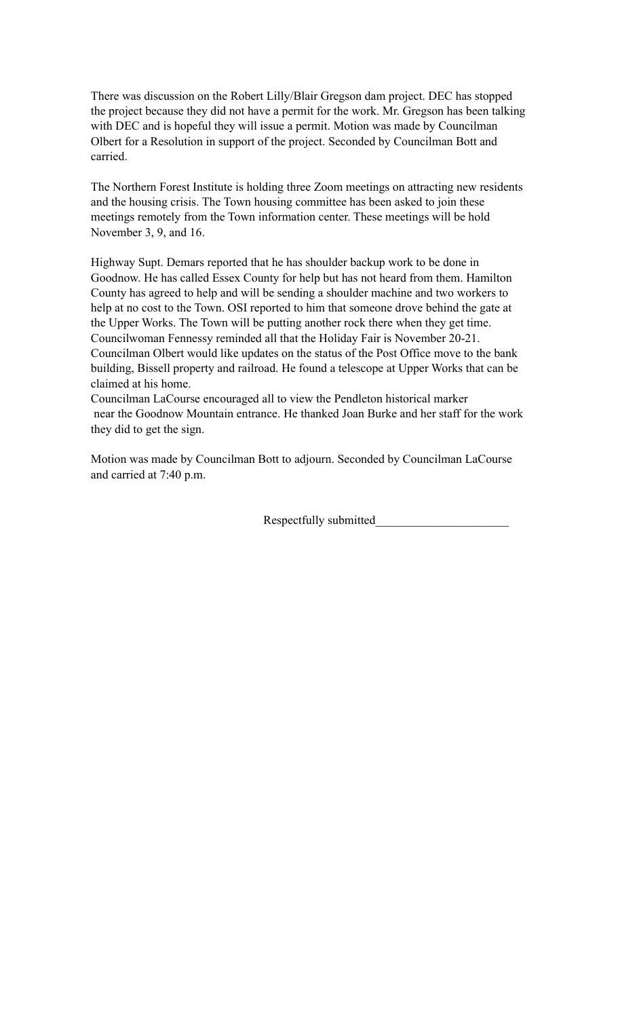There was discussion on the Robert Lilly/Blair Gregson dam project. DEC has stopped the project because they did not have a permit for the work. Mr. Gregson has been talking with DEC and is hopeful they will issue a permit. Motion was made by Councilman Olbert for a Resolution in support of the project. Seconded by Councilman Bott and carried.

The Northern Forest Institute is holding three Zoom meetings on attracting new residents and the housing crisis. The Town housing committee has been asked to join these meetings remotely from the Town information center. These meetings will be hold November 3, 9, and 16.

Highway Supt. Demars reported that he has shoulder backup work to be done in Goodnow. He has called Essex County for help but has not heard from them. Hamilton County has agreed to help and will be sending a shoulder machine and two workers to help at no cost to the Town. OSI reported to him that someone drove behind the gate at the Upper Works. The Town will be putting another rock there when they get time. Councilwoman Fennessy reminded all that the Holiday Fair is November 20-21. Councilman Olbert would like updates on the status of the Post Office move to the bank building, Bissell property and railroad. He found a telescope at Upper Works that can be claimed at his home.

Councilman LaCourse encouraged all to view the Pendleton historical marker near the Goodnow Mountain entrance. He thanked Joan Burke and her staff for the work they did to get the sign.

Motion was made by Councilman Bott to adjourn. Seconded by Councilman LaCourse and carried at 7:40 p.m.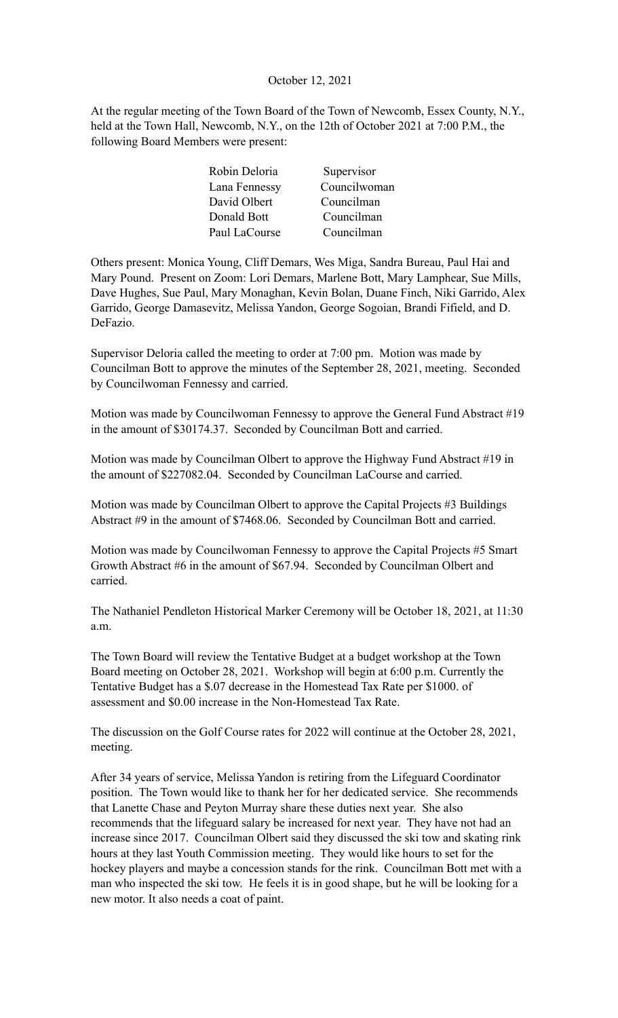# October 12, 2021

At the regular meeting of the Town Board of the Town of Newcomb, Essex County, N.Y., held at the Town Hall, Newcomb, N.Y., on the 12th of October 2021 at 7:00 P.M., the following Board Members were present:

| Robin Deloria | Supervisor   |
|---------------|--------------|
| Lana Fennessy | Councilwoman |
| David Olbert  | Councilman   |
| Donald Bott   | Councilman   |
| Paul LaCourse | Councilman   |

Others present: Monica Young, Cliff Demars, Wes Miga, Sandra Bureau, Paul Hai and Mary Pound. Present on Zoom: Lori Demars, Marlene Bott, Mary Lamphear, Sue Mills, Dave Hughes, Sue Paul, Mary Monaghan, Kevin Bolan, Duane Finch, Niki Garrido, Alex Garrido, George Damasevitz, Melissa Yandon, George Sogoian, Brandi Fifield, and D. DeFazio.

Supervisor Deloria called the meeting to order at 7:00 pm. Motion was made by Councilman Bott to approve the minutes of the September 28, 2021, meeting. Seconded by Councilwoman Fennessy and carried.

Motion was made by Councilwoman Fennessy to approve the General Fund Abstract #19 in the amount of \$30174.37. Seconded by Councilman Bott and carried.

Motion was made by Councilman Olbert to approve the Highway Fund Abstract #19 in the amount of \$227082.04. Seconded by Councilman LaCourse and carried.

Motion was made by Councilman Olbert to approve the Capital Projects #3 Buildings Abstract #9 in the amount of \$7468.06. Seconded by Councilman Bott and carried.

Motion was made by Councilwoman Fennessy to approve the Capital Projects #5 Smart Growth Abstract #6 in the amount of \$67.94. Seconded by Councilman Olbert and carried.

The Nathaniel Pendleton Historical Marker Ceremony will be October 18, 2021, at 11:30 a.m.

The Town Board will review the Tentative Budget at a budget workshop at the Town Board meeting on October 28, 2021. Workshop will begin at 6:00 p.m. Currently the Tentative Budget has a \$.07 decrease in the Homestead Tax Rate per \$1000. of assessment and \$0.00 increase in the Non-Homestead Tax Rate.

The discussion on the Golf Course rates for 2022 will continue at the October 28, 2021, meeting.

After 34 years of service, Melissa Yandon is retiring from the Lifeguard Coordinator position. The Town would like to thank her for her dedicated service. She recommends that Lanette Chase and Peyton Murray share these duties next year. She also recommends that the lifeguard salary be increased for next year. They have not had an increase since 2017. Councilman Olbert said they discussed the ski tow and skating rink hours at they last Youth Commission meeting. They would like hours to set for the hockey players and maybe a concession stands for the rink. Councilman Bott met with a man who inspected the ski tow. He feels it is in good shape, but he will be looking for a new motor. It also needs a coat of paint.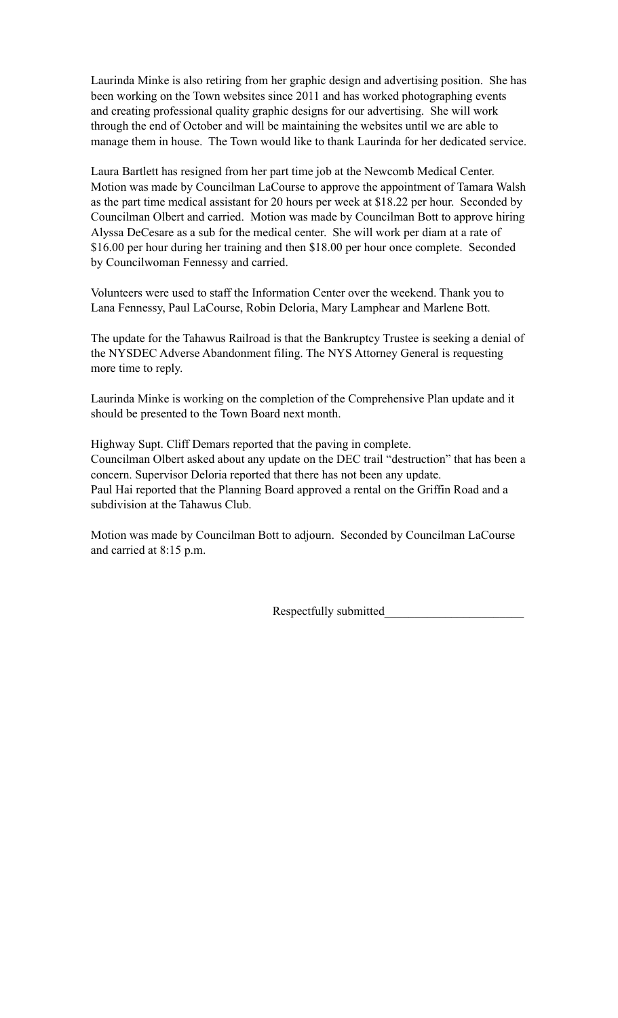Laurinda Minke is also retiring from her graphic design and advertising position. She has been working on the Town websites since 2011 and has worked photographing events and creating professional quality graphic designs for our advertising. She will work through the end of October and will be maintaining the websites until we are able to manage them in house. The Town would like to thank Laurinda for her dedicated service.

Laura Bartlett has resigned from her part time job at the Newcomb Medical Center. Motion was made by Councilman LaCourse to approve the appointment of Tamara Walsh as the part time medical assistant for 20 hours per week at \$18.22 per hour. Seconded by Councilman Olbert and carried. Motion was made by Councilman Bott to approve hiring Alyssa DeCesare as a sub for the medical center. She will work per diam at a rate of \$16.00 per hour during her training and then \$18.00 per hour once complete. Seconded by Councilwoman Fennessy and carried.

Volunteers were used to staff the Information Center over the weekend. Thank you to Lana Fennessy, Paul LaCourse, Robin Deloria, Mary Lamphear and Marlene Bott.

The update for the Tahawus Railroad is that the Bankruptcy Trustee is seeking a denial of the NYSDEC Adverse Abandonment filing. The NYS Attorney General is requesting more time to reply.

Laurinda Minke is working on the completion of the Comprehensive Plan update and it should be presented to the Town Board next month.

Highway Supt. Cliff Demars reported that the paving in complete. Councilman Olbert asked about any update on the DEC trail "destruction" that has been a concern. Supervisor Deloria reported that there has not been any update. Paul Hai reported that the Planning Board approved a rental on the Griffin Road and a subdivision at the Tahawus Club.

Motion was made by Councilman Bott to adjourn. Seconded by Councilman LaCourse and carried at 8:15 p.m.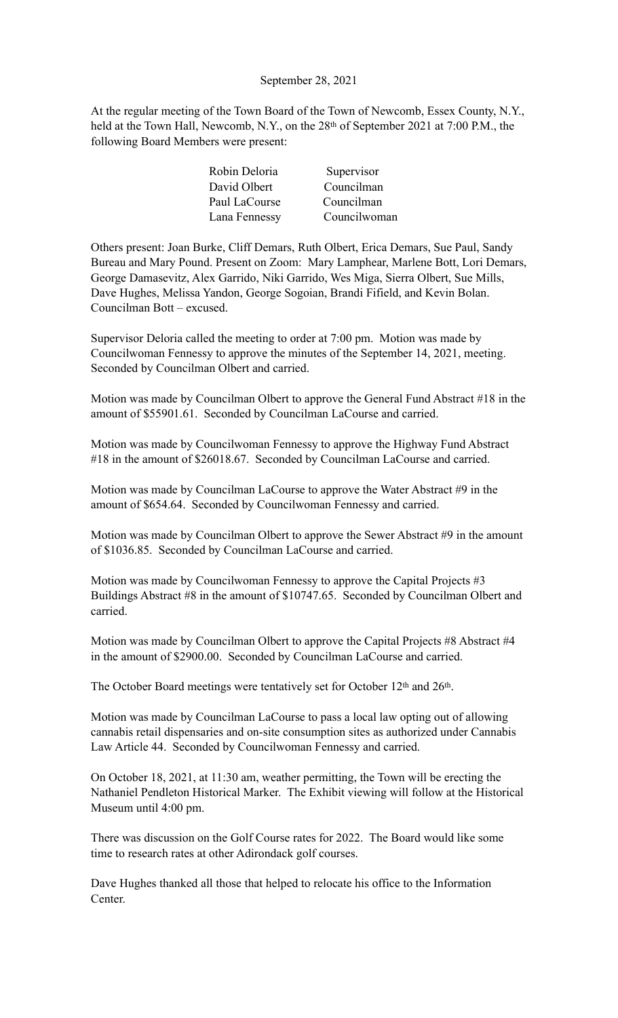### September 28, 2021

At the regular meeting of the Town Board of the Town of Newcomb, Essex County, N.Y., held at the Town Hall, Newcomb, N.Y., on the 28<sup>th</sup> of September 2021 at 7:00 P.M., the following Board Members were present:

| Robin Deloria | Supervisor   |
|---------------|--------------|
| David Olbert  | Councilman   |
| Paul LaCourse | Councilman   |
| Lana Fennessy | Councilwoman |

Others present: Joan Burke, Cliff Demars, Ruth Olbert, Erica Demars, Sue Paul, Sandy Bureau and Mary Pound. Present on Zoom: Mary Lamphear, Marlene Bott, Lori Demars, George Damasevitz, Alex Garrido, Niki Garrido, Wes Miga, Sierra Olbert, Sue Mills, Dave Hughes, Melissa Yandon, George Sogoian, Brandi Fifield, and Kevin Bolan. Councilman Bott – excused.

Supervisor Deloria called the meeting to order at 7:00 pm. Motion was made by Councilwoman Fennessy to approve the minutes of the September 14, 2021, meeting. Seconded by Councilman Olbert and carried.

Motion was made by Councilman Olbert to approve the General Fund Abstract #18 in the amount of \$55901.61. Seconded by Councilman LaCourse and carried.

Motion was made by Councilwoman Fennessy to approve the Highway Fund Abstract #18 in the amount of \$26018.67. Seconded by Councilman LaCourse and carried.

Motion was made by Councilman LaCourse to approve the Water Abstract #9 in the amount of \$654.64. Seconded by Councilwoman Fennessy and carried.

Motion was made by Councilman Olbert to approve the Sewer Abstract #9 in the amount of \$1036.85. Seconded by Councilman LaCourse and carried.

Motion was made by Councilwoman Fennessy to approve the Capital Projects #3 Buildings Abstract #8 in the amount of \$10747.65. Seconded by Councilman Olbert and carried.

Motion was made by Councilman Olbert to approve the Capital Projects #8 Abstract #4 in the amount of \$2900.00. Seconded by Councilman LaCourse and carried.

The October Board meetings were tentatively set for October 12<sup>th</sup> and 26<sup>th</sup>.

Motion was made by Councilman LaCourse to pass a local law opting out of allowing cannabis retail dispensaries and on-site consumption sites as authorized under Cannabis Law Article 44. Seconded by Councilwoman Fennessy and carried.

On October 18, 2021, at 11:30 am, weather permitting, the Town will be erecting the Nathaniel Pendleton Historical Marker. The Exhibit viewing will follow at the Historical Museum until 4:00 pm.

There was discussion on the Golf Course rates for 2022. The Board would like some time to research rates at other Adirondack golf courses.

Dave Hughes thanked all those that helped to relocate his office to the Information Center.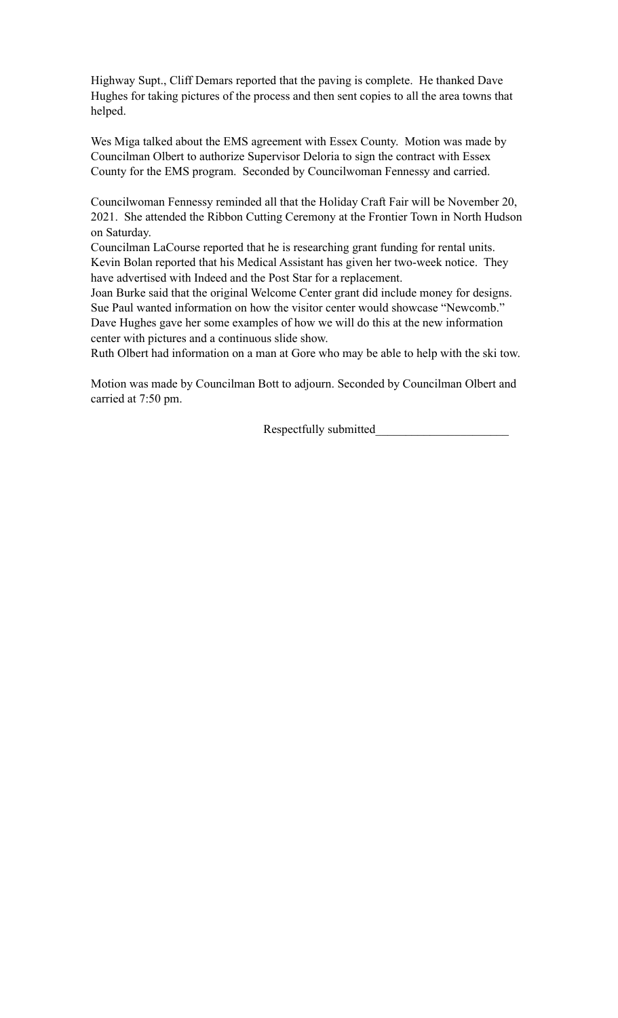Highway Supt., Cliff Demars reported that the paving is complete. He thanked Dave Hughes for taking pictures of the process and then sent copies to all the area towns that helped.

Wes Miga talked about the EMS agreement with Essex County. Motion was made by Councilman Olbert to authorize Supervisor Deloria to sign the contract with Essex County for the EMS program. Seconded by Councilwoman Fennessy and carried.

Councilwoman Fennessy reminded all that the Holiday Craft Fair will be November 20, 2021. She attended the Ribbon Cutting Ceremony at the Frontier Town in North Hudson on Saturday.

Councilman LaCourse reported that he is researching grant funding for rental units. Kevin Bolan reported that his Medical Assistant has given her two-week notice. They have advertised with Indeed and the Post Star for a replacement.

Joan Burke said that the original Welcome Center grant did include money for designs. Sue Paul wanted information on how the visitor center would showcase "Newcomb." Dave Hughes gave her some examples of how we will do this at the new information center with pictures and a continuous slide show.

Ruth Olbert had information on a man at Gore who may be able to help with the ski tow.

Motion was made by Councilman Bott to adjourn. Seconded by Councilman Olbert and carried at 7:50 pm.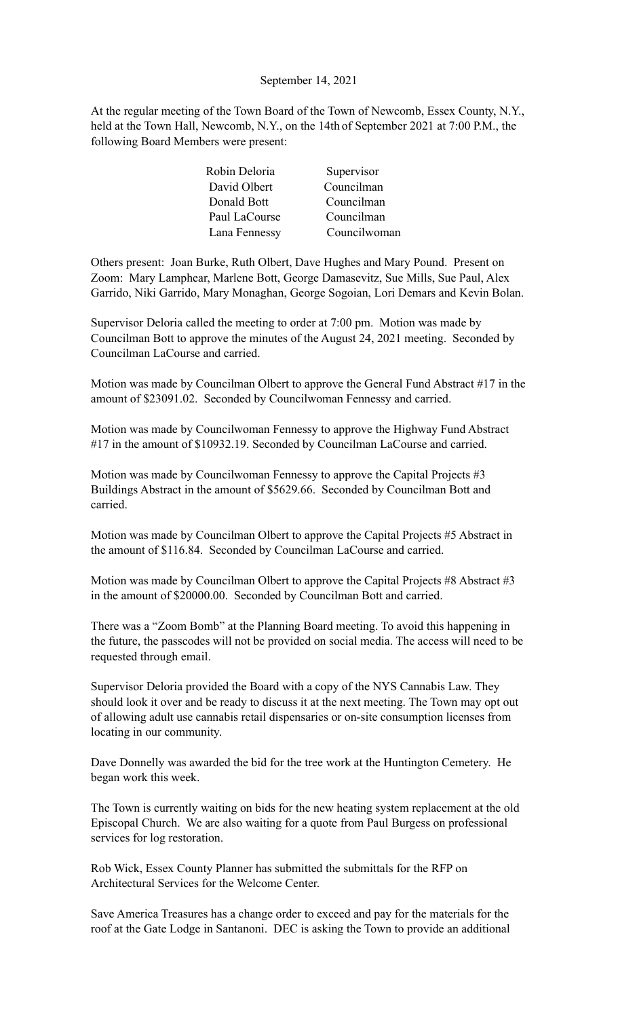### September 14, 2021

At the regular meeting of the Town Board of the Town of Newcomb, Essex County, N.Y., held at the Town Hall, Newcomb, N.Y., on the 14th of September 2021 at 7:00 P.M., the following Board Members were present:

| Robin Deloria | Supervisor   |
|---------------|--------------|
| David Olbert  | Councilman   |
| Donald Bott   | Councilman   |
| Paul LaCourse | Councilman   |
| Lana Fennessy | Councilwoman |

Others present: Joan Burke, Ruth Olbert, Dave Hughes and Mary Pound. Present on Zoom: Mary Lamphear, Marlene Bott, George Damasevitz, Sue Mills, Sue Paul, Alex Garrido, Niki Garrido, Mary Monaghan, George Sogoian, Lori Demars and Kevin Bolan.

Supervisor Deloria called the meeting to order at 7:00 pm. Motion was made by Councilman Bott to approve the minutes of the August 24, 2021 meeting. Seconded by Councilman LaCourse and carried.

Motion was made by Councilman Olbert to approve the General Fund Abstract #17 in the amount of \$23091.02. Seconded by Councilwoman Fennessy and carried.

Motion was made by Councilwoman Fennessy to approve the Highway Fund Abstract #17 in the amount of \$10932.19. Seconded by Councilman LaCourse and carried.

Motion was made by Councilwoman Fennessy to approve the Capital Projects #3 Buildings Abstract in the amount of \$5629.66. Seconded by Councilman Bott and carried.

Motion was made by Councilman Olbert to approve the Capital Projects #5 Abstract in the amount of \$116.84. Seconded by Councilman LaCourse and carried.

Motion was made by Councilman Olbert to approve the Capital Projects #8 Abstract #3 in the amount of \$20000.00. Seconded by Councilman Bott and carried.

There was a "Zoom Bomb" at the Planning Board meeting. To avoid this happening in the future, the passcodes will not be provided on social media. The access will need to be requested through email.

Supervisor Deloria provided the Board with a copy of the NYS Cannabis Law. They should look it over and be ready to discuss it at the next meeting. The Town may opt out of allowing adult use cannabis retail dispensaries or on-site consumption licenses from locating in our community.

Dave Donnelly was awarded the bid for the tree work at the Huntington Cemetery. He began work this week.

The Town is currently waiting on bids for the new heating system replacement at the old Episcopal Church. We are also waiting for a quote from Paul Burgess on professional services for log restoration.

Rob Wick, Essex County Planner has submitted the submittals for the RFP on Architectural Services for the Welcome Center.

Save America Treasures has a change order to exceed and pay for the materials for the roof at the Gate Lodge in Santanoni. DEC is asking the Town to provide an additional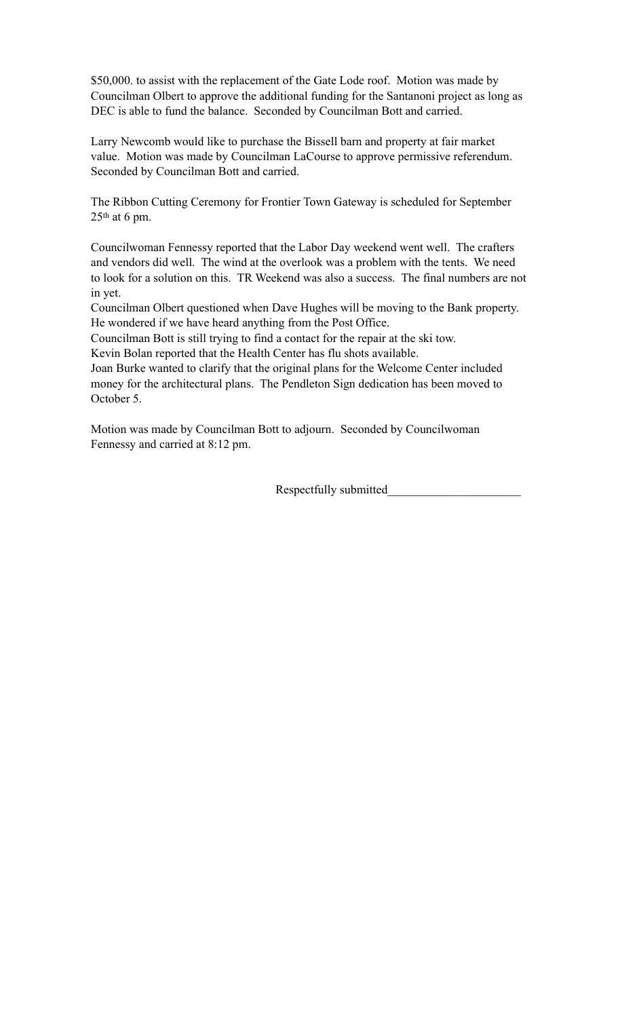\$50,000. to assist with the replacement of the Gate Lode roof. Motion was made by Councilman Olbert to approve the additional funding for the Santanoni project as long as DEC is able to fund the balance. Seconded by Councilman Bott and carried.

Larry Newcomb would like to purchase the Bissell barn and property at fair market value. Motion was made by Councilman LaCourse to approve permissive referendum. Seconded by Councilman Bott and carried.

The Ribbon Cutting Ceremony for Frontier Town Gateway is scheduled for September  $25<sup>th</sup>$  at 6 pm.

Councilwoman Fennessy reported that the Labor Day weekend went well. The crafters and vendors did well. The wind at the overlook was a problem with the tents. We need to look for a solution on this. TR Weekend was also a success. The final numbers are not in yet.

Councilman Olbert questioned when Dave Hughes will be moving to the Bank property. He wondered if we have heard anything from the Post Office.

Councilman Bott is still trying to find a contact for the repair at the ski tow.

Kevin Bolan reported that the Health Center has flu shots available.

Joan Burke wanted to clarify that the original plans for the Welcome Center included money for the architectural plans. The Pendleton Sign dedication has been moved to October 5.

Motion was made by Councilman Bott to adjourn. Seconded by Councilwoman Fennessy and carried at 8:12 pm.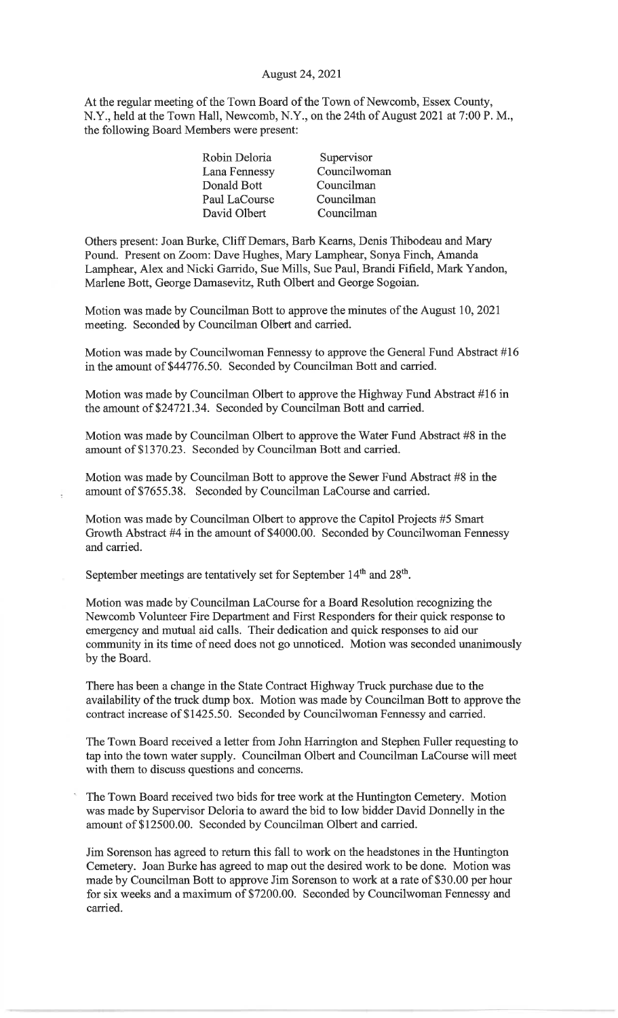#### August 24, 2021

At the regular meeting of the Town Board of the Town of Newcomb, Essex County, N.Y., held at the Town Hall, Newcomb, N.Y., on the 24th of August 2021 at 7:00 P.M., the following Board Members were present:

| Robin Deloria | Supervisor   |
|---------------|--------------|
| Lana Fennessy | Councilwoman |
| Donald Bott   | Councilman   |
| Paul LaCourse | Councilman   |
| David Olbert  | Councilman   |
|               |              |

Others present: Joan Burke, Cliff Demars, Barb Kearns, Denis Thibodeau and Mary Pound. Present on Zoom: Dave Hughes, Mary Lamphear, Sonya Finch, Amanda Lamphear, Alex and Nicki Garrido, Sue Mills, Sue Paul, Brandi Fifield, Mark Yandon, Marlene Bott, George Damasevitz, Ruth Olbert and George Sogoian.

Motion was made by Councilman Bott to approve the minutes of the August 10, 2021 meeting. Seconded by Councilman Olbert and carried.

Motion was made by Councilwoman Fennessy to approve the General Fund Abstract #16 in the amount of \$44776.50. Seconded by Councilman Bott and carried.

Motion was made by Councilman Olbert to approve the Highway Fund Abstract #16 in the amount of \$24721.34. Seconded by Councilman Bott and carried.

Motion was made by Councilman Olbert to approve the Water Fund Abstract #8 in the amount of \$1370.23. Seconded by Councilman Bott and carried.

Motion was made by Councilman Bott to approve the Sewer Fund Abstract #8 in the amount of \$7655.38. Seconded by Councilman LaCourse and carried.

Motion was made by Councilman Olbert to approve the Capitol Projects #5 Smart Growth Abstract #4 in the amount of \$4000.00. Seconded by Councilwoman Fennessy and carried.

September meetings are tentatively set for September 14<sup>th</sup> and 28<sup>th</sup>.

Motion was made by Councilman LaCourse for a Board Resolution recognizing the Newcomb Volunteer Fire Department and First Responders for their quick response to emergency and mutual aid calls. Their dedication and quick responses to aid our community in its time of need does not go unnoticed. Motion was seconded unanimously by the Board.

There has been a change in the State Contract Highway Truck purchase due to the availability of the truck dump box. Motion was made by Councilman Bott to approve the contract increase of \$1425.50. Seconded by Councilwoman Fennessy and carried.

The Town Board received a letter from John Harrington and Stephen Fuller requesting to tap into the town water supply. Councilman Olbert and Councilman LaCourse will meet with them to discuss questions and concerns.

The Town Board received two bids for tree work at the Huntington Cemetery. Motion was made by Supervisor Deloria to award the bid to low bidder David Donnelly in the amount of \$12500.00. Seconded by Councilman Olbert and carried.

Jim Sorenson has agreed to return this fall to work on the headstones in the Huntington Cemetery. Joan Burke has agreed to map out the desired work to be done. Motion was made by Councilman Bott to approve Jim Sorenson to work at a rate of \$30.00 per hour for six weeks and a maximum of \$7200.00. Seconded by Councilwoman Fennessy and carried.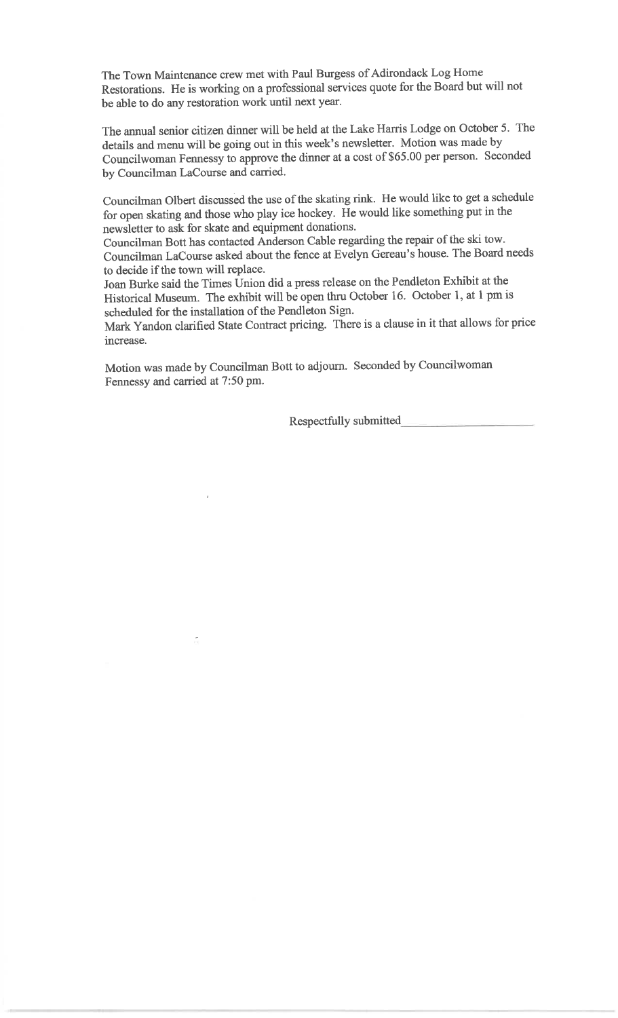The Town Maintenance crew met with Paul Burgess of Adirondack Log Home Restorations. He is working on a professional services quote for the Board but will not be able to do any restoration work until next year.

The annual senior citizen dinner will be held at the Lake Harris Lodge on October 5. The details and menu will be going out in this week's newsletter. Motion was made by Councilwoman Fennessy to approve the dinner at a cost of \$65.00 per person. Seconded by Councilman LaCourse and carried.

Councilman Olbert discussed the use of the skating rink. He would like to get a schedule for open skating and those who play ice hockey. He would like something put in the newsletter to ask for skate and equipment donations.

Councilman Bott has contacted Anderson Cable regarding the repair of the ski tow. Councilman LaCourse asked about the fence at Evelyn Gereau's house. The Board needs to decide if the town will replace.

Joan Burke said the Times Union did a press release on the Pendleton Exhibit at the Historical Museum. The exhibit will be open thru October 16. October 1, at 1 pm is scheduled for the installation of the Pendleton Sign.

Mark Yandon clarified State Contract pricing. There is a clause in it that allows for price increase.

Motion was made by Councilman Bott to adjourn. Seconded by Councilwoman Fennessy and carried at 7:50 pm.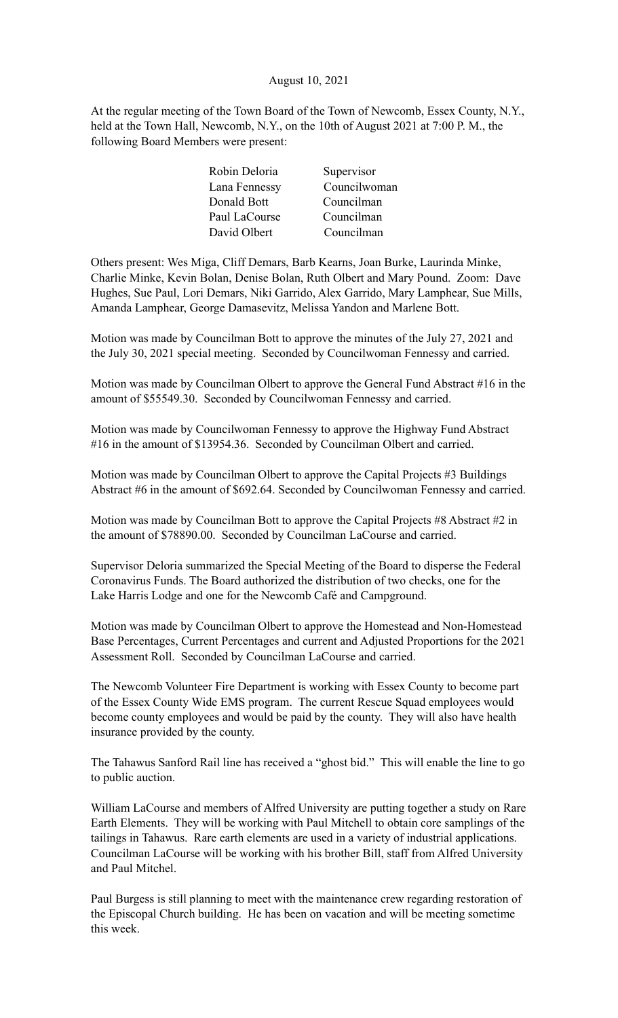## August 10, 2021

At the regular meeting of the Town Board of the Town of Newcomb, Essex County, N.Y., held at the Town Hall, Newcomb, N.Y., on the 10th of August 2021 at 7:00 P. M., the following Board Members were present:

| Robin Deloria | Supervisor   |
|---------------|--------------|
| Lana Fennessy | Councilwoman |
| Donald Bott   | Councilman   |
| Paul LaCourse | Councilman   |
| David Olbert  | Councilman   |
|               |              |

Others present: Wes Miga, Cliff Demars, Barb Kearns, Joan Burke, Laurinda Minke, Charlie Minke, Kevin Bolan, Denise Bolan, Ruth Olbert and Mary Pound. Zoom: Dave Hughes, Sue Paul, Lori Demars, Niki Garrido, Alex Garrido, Mary Lamphear, Sue Mills, Amanda Lamphear, George Damasevitz, Melissa Yandon and Marlene Bott.

Motion was made by Councilman Bott to approve the minutes of the July 27, 2021 and the July 30, 2021 special meeting. Seconded by Councilwoman Fennessy and carried.

Motion was made by Councilman Olbert to approve the General Fund Abstract #16 in the amount of \$55549.30. Seconded by Councilwoman Fennessy and carried.

Motion was made by Councilwoman Fennessy to approve the Highway Fund Abstract #16 in the amount of \$13954.36. Seconded by Councilman Olbert and carried.

Motion was made by Councilman Olbert to approve the Capital Projects #3 Buildings Abstract #6 in the amount of \$692.64. Seconded by Councilwoman Fennessy and carried.

Motion was made by Councilman Bott to approve the Capital Projects #8 Abstract #2 in the amount of \$78890.00. Seconded by Councilman LaCourse and carried.

Supervisor Deloria summarized the Special Meeting of the Board to disperse the Federal Coronavirus Funds. The Board authorized the distribution of two checks, one for the Lake Harris Lodge and one for the Newcomb Café and Campground.

Motion was made by Councilman Olbert to approve the Homestead and Non-Homestead Base Percentages, Current Percentages and current and Adjusted Proportions for the 2021 Assessment Roll. Seconded by Councilman LaCourse and carried.

The Newcomb Volunteer Fire Department is working with Essex County to become part of the Essex County Wide EMS program. The current Rescue Squad employees would become county employees and would be paid by the county. They will also have health insurance provided by the county.

The Tahawus Sanford Rail line has received a "ghost bid." This will enable the line to go to public auction.

William LaCourse and members of Alfred University are putting together a study on Rare Earth Elements. They will be working with Paul Mitchell to obtain core samplings of the tailings in Tahawus. Rare earth elements are used in a variety of industrial applications. Councilman LaCourse will be working with his brother Bill, staff from Alfred University and Paul Mitchel.

Paul Burgess is still planning to meet with the maintenance crew regarding restoration of the Episcopal Church building. He has been on vacation and will be meeting sometime this week.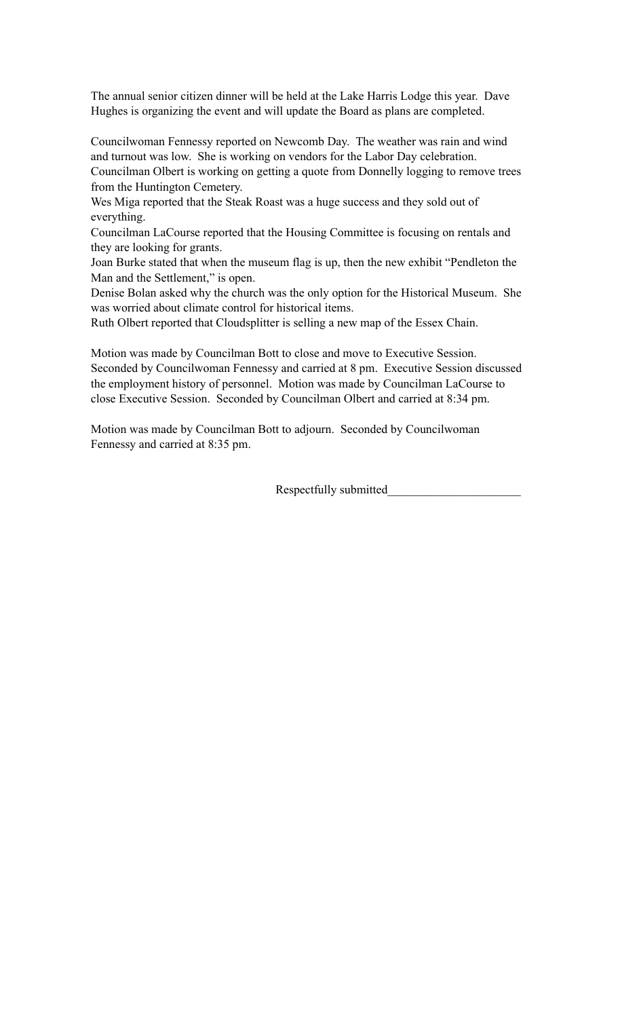The annual senior citizen dinner will be held at the Lake Harris Lodge this year. Dave Hughes is organizing the event and will update the Board as plans are completed.

Councilwoman Fennessy reported on Newcomb Day. The weather was rain and wind and turnout was low. She is working on vendors for the Labor Day celebration. Councilman Olbert is working on getting a quote from Donnelly logging to remove trees from the Huntington Cemetery.

Wes Miga reported that the Steak Roast was a huge success and they sold out of everything.

Councilman LaCourse reported that the Housing Committee is focusing on rentals and they are looking for grants.

Joan Burke stated that when the museum flag is up, then the new exhibit "Pendleton the Man and the Settlement," is open.

Denise Bolan asked why the church was the only option for the Historical Museum. She was worried about climate control for historical items.

Ruth Olbert reported that Cloudsplitter is selling a new map of the Essex Chain.

Motion was made by Councilman Bott to close and move to Executive Session. Seconded by Councilwoman Fennessy and carried at 8 pm. Executive Session discussed the employment history of personnel. Motion was made by Councilman LaCourse to close Executive Session. Seconded by Councilman Olbert and carried at 8:34 pm.

Motion was made by Councilman Bott to adjourn. Seconded by Councilwoman Fennessy and carried at 8:35 pm.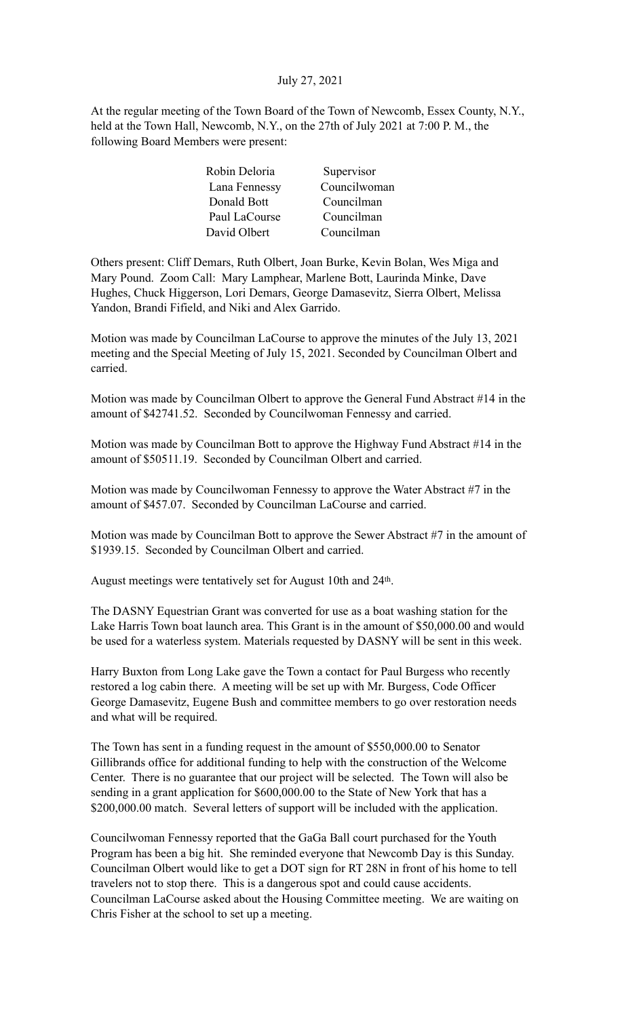# July 27, 2021

At the regular meeting of the Town Board of the Town of Newcomb, Essex County, N.Y., held at the Town Hall, Newcomb, N.Y., on the 27th of July 2021 at 7:00 P. M., the following Board Members were present:

| Robin Deloria | Supervisor   |
|---------------|--------------|
| Lana Fennessy | Councilwoman |
| Donald Bott   | Councilman   |
| Paul LaCourse | Councilman   |
| David Olbert  | Councilman   |

Others present: Cliff Demars, Ruth Olbert, Joan Burke, Kevin Bolan, Wes Miga and Mary Pound. Zoom Call: Mary Lamphear, Marlene Bott, Laurinda Minke, Dave Hughes, Chuck Higgerson, Lori Demars, George Damasevitz, Sierra Olbert, Melissa Yandon, Brandi Fifield, and Niki and Alex Garrido.

Motion was made by Councilman LaCourse to approve the minutes of the July 13, 2021 meeting and the Special Meeting of July 15, 2021. Seconded by Councilman Olbert and carried.

Motion was made by Councilman Olbert to approve the General Fund Abstract #14 in the amount of \$42741.52. Seconded by Councilwoman Fennessy and carried.

Motion was made by Councilman Bott to approve the Highway Fund Abstract #14 in the amount of \$50511.19. Seconded by Councilman Olbert and carried.

Motion was made by Councilwoman Fennessy to approve the Water Abstract #7 in the amount of \$457.07. Seconded by Councilman LaCourse and carried.

Motion was made by Councilman Bott to approve the Sewer Abstract #7 in the amount of \$1939.15. Seconded by Councilman Olbert and carried.

August meetings were tentatively set for August 10th and 24<sup>th</sup>.

The DASNY Equestrian Grant was converted for use as a boat washing station for the Lake Harris Town boat launch area. This Grant is in the amount of \$50,000.00 and would be used for a waterless system. Materials requested by DASNY will be sent in this week.

Harry Buxton from Long Lake gave the Town a contact for Paul Burgess who recently restored a log cabin there. A meeting will be set up with Mr. Burgess, Code Officer George Damasevitz, Eugene Bush and committee members to go over restoration needs and what will be required.

The Town has sent in a funding request in the amount of \$550,000.00 to Senator Gillibrands office for additional funding to help with the construction of the Welcome Center. There is no guarantee that our project will be selected. The Town will also be sending in a grant application for \$600,000.00 to the State of New York that has a \$200,000.00 match. Several letters of support will be included with the application.

Councilwoman Fennessy reported that the GaGa Ball court purchased for the Youth Program has been a big hit. She reminded everyone that Newcomb Day is this Sunday. Councilman Olbert would like to get a DOT sign for RT 28N in front of his home to tell travelers not to stop there. This is a dangerous spot and could cause accidents. Councilman LaCourse asked about the Housing Committee meeting. We are waiting on Chris Fisher at the school to set up a meeting.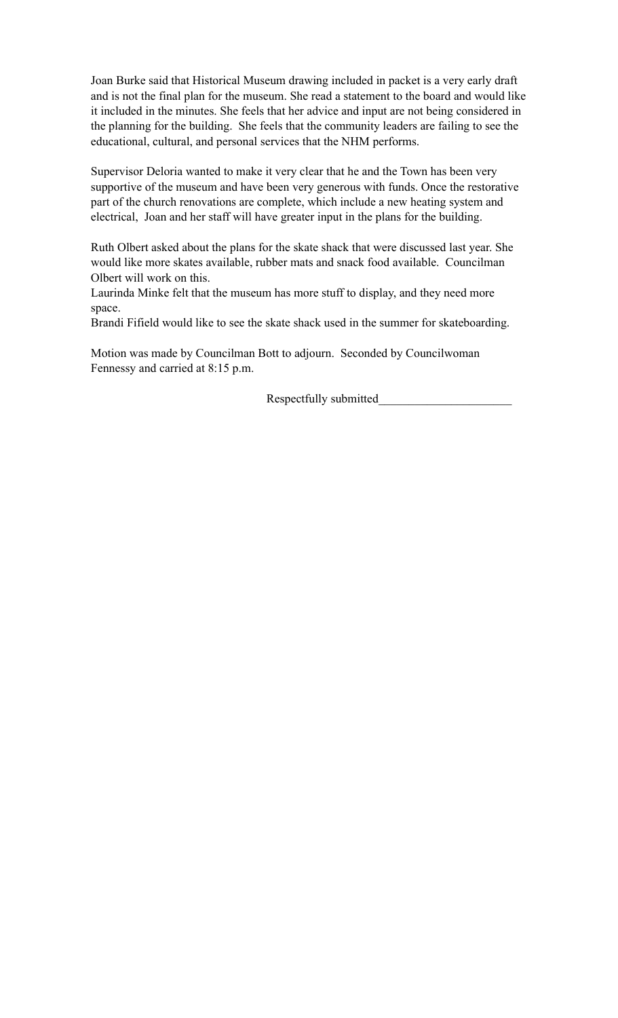Joan Burke said that Historical Museum drawing included in packet is a very early draft and is not the final plan for the museum. She read a statement to the board and would like it included in the minutes. She feels that her advice and input are not being considered in the planning for the building. She feels that the community leaders are failing to see the educational, cultural, and personal services that the NHM performs.

Supervisor Deloria wanted to make it very clear that he and the Town has been very supportive of the museum and have been very generous with funds. Once the restorative part of the church renovations are complete, which include a new heating system and electrical, Joan and her staff will have greater input in the plans for the building.

Ruth Olbert asked about the plans for the skate shack that were discussed last year. She would like more skates available, rubber mats and snack food available. Councilman Olbert will work on this.

Laurinda Minke felt that the museum has more stuff to display, and they need more space.

Brandi Fifield would like to see the skate shack used in the summer for skateboarding.

Motion was made by Councilman Bott to adjourn. Seconded by Councilwoman Fennessy and carried at 8:15 p.m.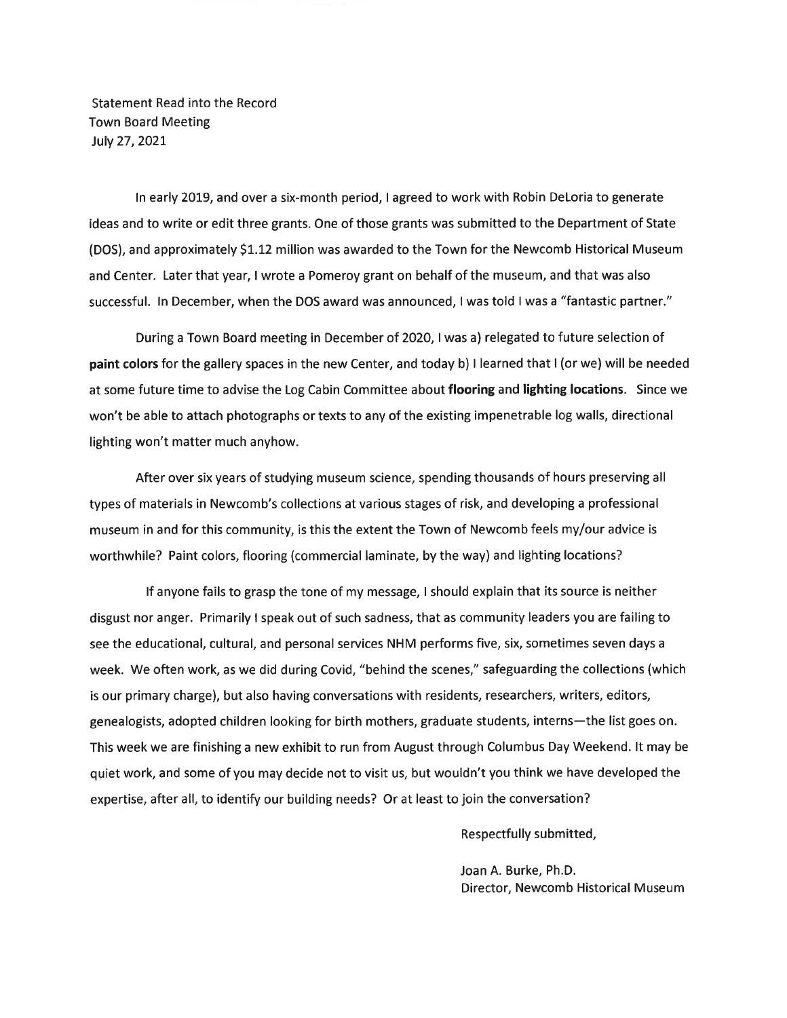**Statement Read into the Record Town Board Meeting** July 27, 2021

In early 2019, and over a six-month period, I agreed to work with Robin DeLoria to generate ideas and to write or edit three grants. One of those grants was submitted to the Department of State (DOS), and approximately \$1.12 million was awarded to the Town for the Newcomb Historical Museum and Center. Later that year, I wrote a Pomeroy grant on behalf of the museum, and that was also successful. In December, when the DOS award was announced, I was told I was a "fantastic partner."

During a Town Board meeting in December of 2020, I was a) relegated to future selection of paint colors for the gallery spaces in the new Center, and today b) I learned that I (or we) will be needed at some future time to advise the Log Cabin Committee about flooring and lighting locations. Since we won't be able to attach photographs or texts to any of the existing impenetrable log walls, directional lighting won't matter much anyhow.

After over six years of studying museum science, spending thousands of hours preserving all types of materials in Newcomb's collections at various stages of risk, and developing a professional museum in and for this community, is this the extent the Town of Newcomb feels my/our advice is worthwhile? Paint colors, flooring (commercial laminate, by the way) and lighting locations?

If anyone fails to grasp the tone of my message, I should explain that its source is neither disgust nor anger. Primarily I speak out of such sadness, that as community leaders you are failing to see the educational, cultural, and personal services NHM performs five, six, sometimes seven days a week. We often work, as we did during Covid, "behind the scenes," safeguarding the collections (which is our primary charge), but also having conversations with residents, researchers, writers, editors, genealogists, adopted children looking for birth mothers, graduate students, interns-the list goes on. This week we are finishing a new exhibit to run from August through Columbus Day Weekend. It may be quiet work, and some of you may decide not to visit us, but wouldn't you think we have developed the expertise, after all, to identify our building needs? Or at least to join the conversation?

Respectfully submitted,

Joan A. Burke, Ph.D. Director, Newcomb Historical Museum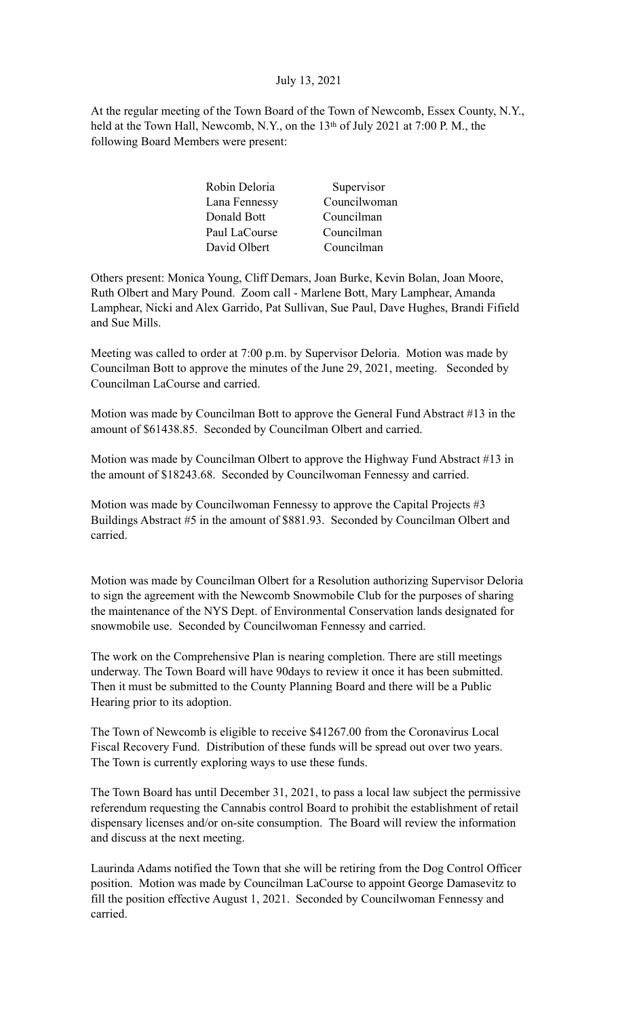# July 13, 2021

At the regular meeting of the Town Board of the Town of Newcomb, Essex County, N.Y., held at the Town Hall, Newcomb, N.Y., on the 13<sup>th</sup> of July 2021 at 7:00 P.M., the following Board Members were present:

| Supervisor   |
|--------------|
| Councilwoman |
| Councilman   |
| Councilman   |
| Councilman   |
|              |

Others present: Monica Young, Cliff Demars, Joan Burke, Kevin Bolan, Joan Moore, Ruth Olbert and Mary Pound. Zoom call - Marlene Bott, Mary Lamphear, Amanda Lamphear, Nicki and Alex Garrido, Pat Sullivan, Sue Paul, Dave Hughes, Brandi Fifield and Sue Mills.

Meeting was called to order at 7:00 p.m. by Supervisor Deloria. Motion was made by Councilman Bott to approve the minutes of the June 29, 2021, meeting. Seconded by Councilman LaCourse and carried.

Motion was made by Councilman Bott to approve the General Fund Abstract #13 in the amount of \$61438.85. Seconded by Councilman Olbert and carried.

Motion was made by Councilman Olbert to approve the Highway Fund Abstract #13 in the amount of \$18243.68. Seconded by Councilwoman Fennessy and carried.

Motion was made by Councilwoman Fennessy to approve the Capital Projects #3 Buildings Abstract #5 in the amount of \$881.93. Seconded by Councilman Olbert and carried.

Motion was made by Councilman Olbert for a Resolution authorizing Supervisor Deloria to sign the agreement with the Newcomb Snowmobile Club for the purposes of sharing the maintenance of the NYS Dept. of Environmental Conservation lands designated for snowmobile use. Seconded by Councilwoman Fennessy and carried.

The work on the Comprehensive Plan is nearing completion. There are still meetings underway. The Town Board will have 90days to review it once it has been submitted. Then it must be submitted to the County Planning Board and there will be a Public Hearing prior to its adoption.

The Town of Newcomb is eligible to receive \$41267.00 from the Coronavirus Local Fiscal Recovery Fund. Distribution of these funds will be spread out over two years. The Town is currently exploring ways to use these funds.

The Town Board has until December 31, 2021, to pass a local law subject the permissive referendum requesting the Cannabis control Board to prohibit the establishment of retail dispensary licenses and/or on-site consumption. The Board will review the information and discuss at the next meeting.

Laurinda Adams notified the Town that she will be retiring from the Dog Control Officer position. Motion was made by Councilman LaCourse to appoint George Damasevitz to fill the position effective August 1, 2021. Seconded by Councilwoman Fennessy and carried.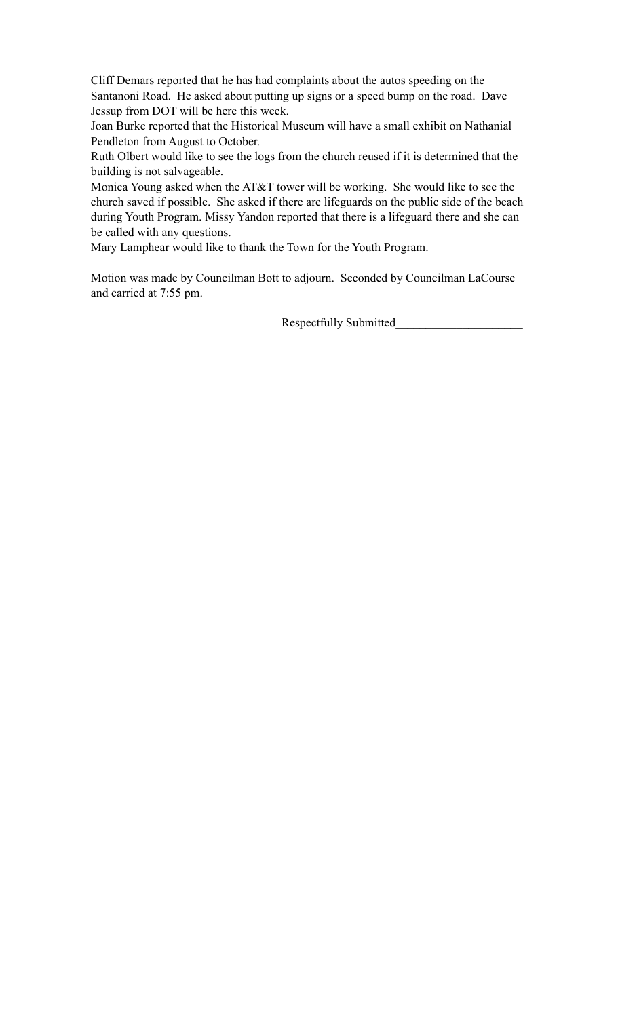Cliff Demars reported that he has had complaints about the autos speeding on the Santanoni Road. He asked about putting up signs or a speed bump on the road. Dave Jessup from DOT will be here this week.

Joan Burke reported that the Historical Museum will have a small exhibit on Nathanial Pendleton from August to October.

Ruth Olbert would like to see the logs from the church reused if it is determined that the building is not salvageable.

Monica Young asked when the AT&T tower will be working. She would like to see the church saved if possible. She asked if there are lifeguards on the public side of the beach during Youth Program. Missy Yandon reported that there is a lifeguard there and she can be called with any questions.

Mary Lamphear would like to thank the Town for the Youth Program.

Motion was made by Councilman Bott to adjourn. Seconded by Councilman LaCourse and carried at 7:55 pm.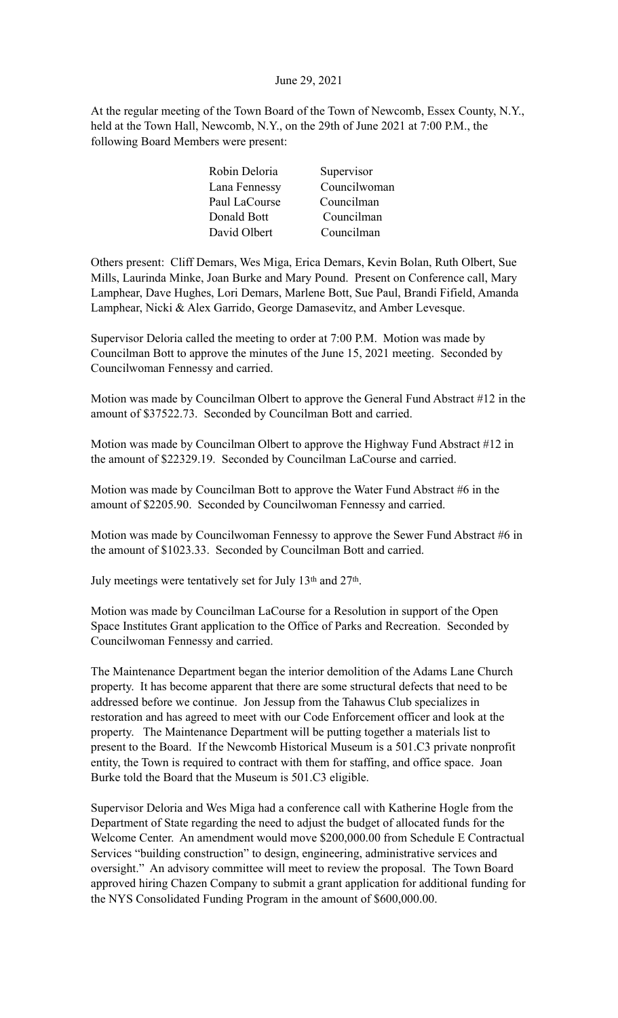### June 29, 2021

At the regular meeting of the Town Board of the Town of Newcomb, Essex County, N.Y., held at the Town Hall, Newcomb, N.Y., on the 29th of June 2021 at 7:00 P.M., the following Board Members were present:

| Robin Deloria | Supervisor   |
|---------------|--------------|
| Lana Fennessy | Councilwoman |
| Paul LaCourse | Councilman   |
| Donald Bott   | Councilman   |
| David Olbert  | Councilman   |

Others present: Cliff Demars, Wes Miga, Erica Demars, Kevin Bolan, Ruth Olbert, Sue Mills, Laurinda Minke, Joan Burke and Mary Pound. Present on Conference call, Mary Lamphear, Dave Hughes, Lori Demars, Marlene Bott, Sue Paul, Brandi Fifield, Amanda Lamphear, Nicki & Alex Garrido, George Damasevitz, and Amber Levesque.

Supervisor Deloria called the meeting to order at 7:00 P.M. Motion was made by Councilman Bott to approve the minutes of the June 15, 2021 meeting. Seconded by Councilwoman Fennessy and carried.

Motion was made by Councilman Olbert to approve the General Fund Abstract #12 in the amount of \$37522.73. Seconded by Councilman Bott and carried.

Motion was made by Councilman Olbert to approve the Highway Fund Abstract #12 in the amount of \$22329.19. Seconded by Councilman LaCourse and carried.

Motion was made by Councilman Bott to approve the Water Fund Abstract #6 in the amount of \$2205.90. Seconded by Councilwoman Fennessy and carried.

Motion was made by Councilwoman Fennessy to approve the Sewer Fund Abstract #6 in the amount of \$1023.33. Seconded by Councilman Bott and carried.

July meetings were tentatively set for July 13th and 27th.

Motion was made by Councilman LaCourse for a Resolution in support of the Open Space Institutes Grant application to the Office of Parks and Recreation. Seconded by Councilwoman Fennessy and carried.

The Maintenance Department began the interior demolition of the Adams Lane Church property. It has become apparent that there are some structural defects that need to be addressed before we continue. Jon Jessup from the Tahawus Club specializes in restoration and has agreed to meet with our Code Enforcement officer and look at the property. The Maintenance Department will be putting together a materials list to present to the Board. If the Newcomb Historical Museum is a 501.C3 private nonprofit entity, the Town is required to contract with them for staffing, and office space. Joan Burke told the Board that the Museum is 501.C3 eligible.

Supervisor Deloria and Wes Miga had a conference call with Katherine Hogle from the Department of State regarding the need to adjust the budget of allocated funds for the Welcome Center. An amendment would move \$200,000.00 from Schedule E Contractual Services "building construction" to design, engineering, administrative services and oversight." An advisory committee will meet to review the proposal. The Town Board approved hiring Chazen Company to submit a grant application for additional funding for the NYS Consolidated Funding Program in the amount of \$600,000.00.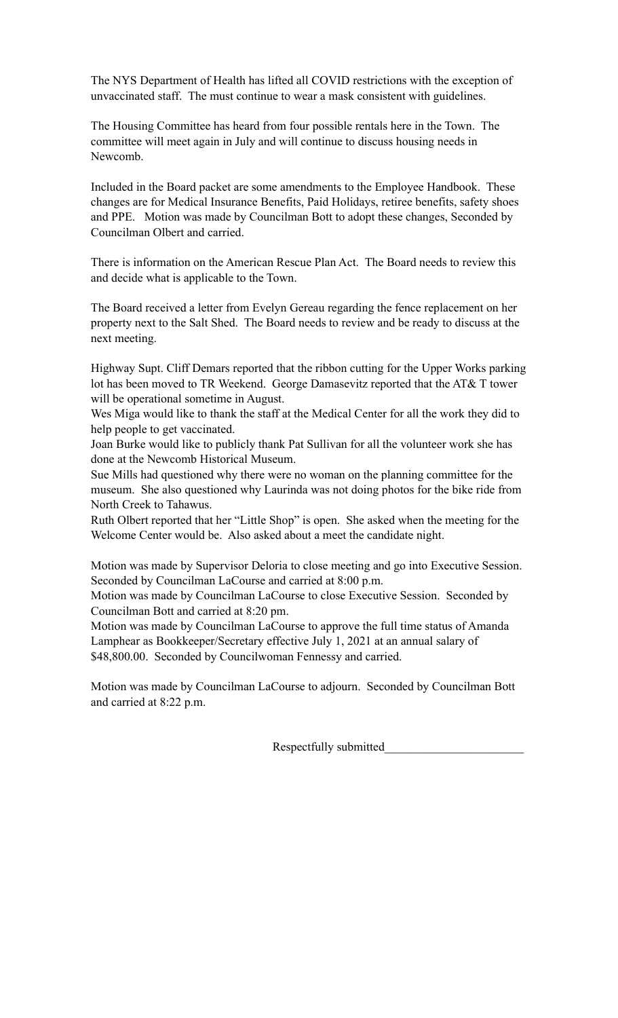The NYS Department of Health has lifted all COVID restrictions with the exception of unvaccinated staff. The must continue to wear a mask consistent with guidelines.

The Housing Committee has heard from four possible rentals here in the Town. The committee will meet again in July and will continue to discuss housing needs in Newcomb.

Included in the Board packet are some amendments to the Employee Handbook. These changes are for Medical Insurance Benefits, Paid Holidays, retiree benefits, safety shoes and PPE. Motion was made by Councilman Bott to adopt these changes, Seconded by Councilman Olbert and carried.

There is information on the American Rescue Plan Act. The Board needs to review this and decide what is applicable to the Town.

The Board received a letter from Evelyn Gereau regarding the fence replacement on her property next to the Salt Shed. The Board needs to review and be ready to discuss at the next meeting.

Highway Supt. Cliff Demars reported that the ribbon cutting for the Upper Works parking lot has been moved to TR Weekend. George Damasevitz reported that the AT& T tower will be operational sometime in August.

Wes Miga would like to thank the staff at the Medical Center for all the work they did to help people to get vaccinated.

Joan Burke would like to publicly thank Pat Sullivan for all the volunteer work she has done at the Newcomb Historical Museum.

Sue Mills had questioned why there were no woman on the planning committee for the museum. She also questioned why Laurinda was not doing photos for the bike ride from North Creek to Tahawus.

Ruth Olbert reported that her "Little Shop" is open. She asked when the meeting for the Welcome Center would be. Also asked about a meet the candidate night.

Motion was made by Supervisor Deloria to close meeting and go into Executive Session. Seconded by Councilman LaCourse and carried at 8:00 p.m.

Motion was made by Councilman LaCourse to close Executive Session. Seconded by Councilman Bott and carried at 8:20 pm.

Motion was made by Councilman LaCourse to approve the full time status of Amanda Lamphear as Bookkeeper/Secretary effective July 1, 2021 at an annual salary of \$48,800.00. Seconded by Councilwoman Fennessy and carried.

Motion was made by Councilman LaCourse to adjourn. Seconded by Councilman Bott and carried at 8:22 p.m.

Respectfully submitted\_\_\_\_\_\_\_\_\_\_\_\_\_\_\_\_\_\_\_\_\_\_\_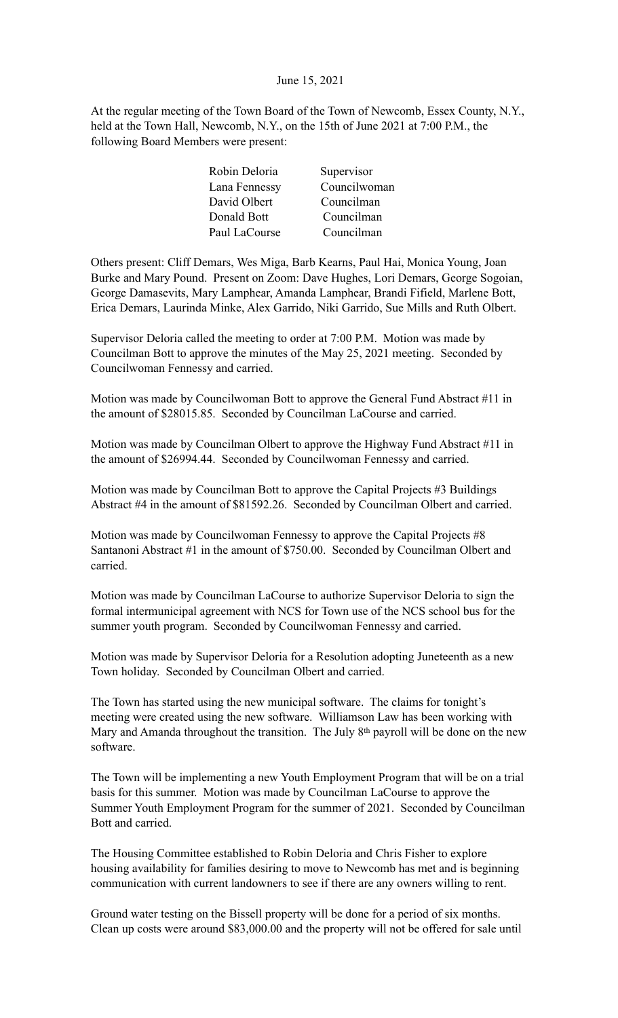#### June 15, 2021

At the regular meeting of the Town Board of the Town of Newcomb, Essex County, N.Y., held at the Town Hall, Newcomb, N.Y., on the 15th of June 2021 at 7:00 P.M., the following Board Members were present:

| Robin Deloria | Supervisor   |
|---------------|--------------|
| Lana Fennessy | Councilwoman |
| David Olbert  | Councilman   |
| Donald Bott   | Councilman   |
| Paul LaCourse | Councilman   |
|               |              |

Others present: Cliff Demars, Wes Miga, Barb Kearns, Paul Hai, Monica Young, Joan Burke and Mary Pound. Present on Zoom: Dave Hughes, Lori Demars, George Sogoian, George Damasevits, Mary Lamphear, Amanda Lamphear, Brandi Fifield, Marlene Bott, Erica Demars, Laurinda Minke, Alex Garrido, Niki Garrido, Sue Mills and Ruth Olbert.

Supervisor Deloria called the meeting to order at 7:00 P.M. Motion was made by Councilman Bott to approve the minutes of the May 25, 2021 meeting. Seconded by Councilwoman Fennessy and carried.

Motion was made by Councilwoman Bott to approve the General Fund Abstract #11 in the amount of \$28015.85. Seconded by Councilman LaCourse and carried.

Motion was made by Councilman Olbert to approve the Highway Fund Abstract #11 in the amount of \$26994.44. Seconded by Councilwoman Fennessy and carried.

Motion was made by Councilman Bott to approve the Capital Projects #3 Buildings Abstract #4 in the amount of \$81592.26. Seconded by Councilman Olbert and carried.

Motion was made by Councilwoman Fennessy to approve the Capital Projects #8 Santanoni Abstract #1 in the amount of \$750.00. Seconded by Councilman Olbert and carried.

Motion was made by Councilman LaCourse to authorize Supervisor Deloria to sign the formal intermunicipal agreement with NCS for Town use of the NCS school bus for the summer youth program. Seconded by Councilwoman Fennessy and carried.

Motion was made by Supervisor Deloria for a Resolution adopting Juneteenth as a new Town holiday. Seconded by Councilman Olbert and carried.

The Town has started using the new municipal software. The claims for tonight's meeting were created using the new software. Williamson Law has been working with Mary and Amanda throughout the transition. The July 8<sup>th</sup> payroll will be done on the new software.

The Town will be implementing a new Youth Employment Program that will be on a trial basis for this summer. Motion was made by Councilman LaCourse to approve the Summer Youth Employment Program for the summer of 2021. Seconded by Councilman Bott and carried.

The Housing Committee established to Robin Deloria and Chris Fisher to explore housing availability for families desiring to move to Newcomb has met and is beginning communication with current landowners to see if there are any owners willing to rent.

Ground water testing on the Bissell property will be done for a period of six months. Clean up costs were around \$83,000.00 and the property will not be offered for sale until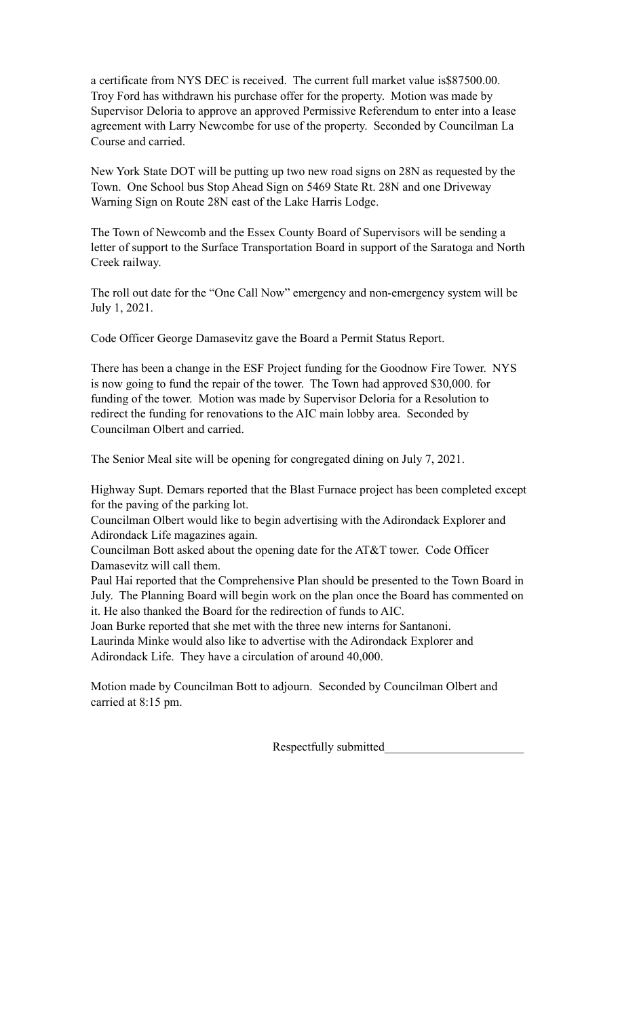a certificate from NYS DEC is received. The current full market value is\$87500.00. Troy Ford has withdrawn his purchase offer for the property. Motion was made by Supervisor Deloria to approve an approved Permissive Referendum to enter into a lease agreement with Larry Newcombe for use of the property. Seconded by Councilman La Course and carried.

New York State DOT will be putting up two new road signs on 28N as requested by the Town. One School bus Stop Ahead Sign on 5469 State Rt. 28N and one Driveway Warning Sign on Route 28N east of the Lake Harris Lodge.

The Town of Newcomb and the Essex County Board of Supervisors will be sending a letter of support to the Surface Transportation Board in support of the Saratoga and North Creek railway.

The roll out date for the "One Call Now" emergency and non-emergency system will be July 1, 2021.

Code Officer George Damasevitz gave the Board a Permit Status Report.

There has been a change in the ESF Project funding for the Goodnow Fire Tower. NYS is now going to fund the repair of the tower. The Town had approved \$30,000. for funding of the tower. Motion was made by Supervisor Deloria for a Resolution to redirect the funding for renovations to the AIC main lobby area. Seconded by Councilman Olbert and carried.

The Senior Meal site will be opening for congregated dining on July 7, 2021.

Highway Supt. Demars reported that the Blast Furnace project has been completed except for the paving of the parking lot.

Councilman Olbert would like to begin advertising with the Adirondack Explorer and Adirondack Life magazines again.

Councilman Bott asked about the opening date for the AT&T tower. Code Officer Damasevitz will call them.

Paul Hai reported that the Comprehensive Plan should be presented to the Town Board in July. The Planning Board will begin work on the plan once the Board has commented on it. He also thanked the Board for the redirection of funds to AIC.

Joan Burke reported that she met with the three new interns for Santanoni.

Laurinda Minke would also like to advertise with the Adirondack Explorer and Adirondack Life. They have a circulation of around 40,000.

Motion made by Councilman Bott to adjourn. Seconded by Councilman Olbert and carried at 8:15 pm.

Respectfully submitted\_\_\_\_\_\_\_\_\_\_\_\_\_\_\_\_\_\_\_\_\_\_\_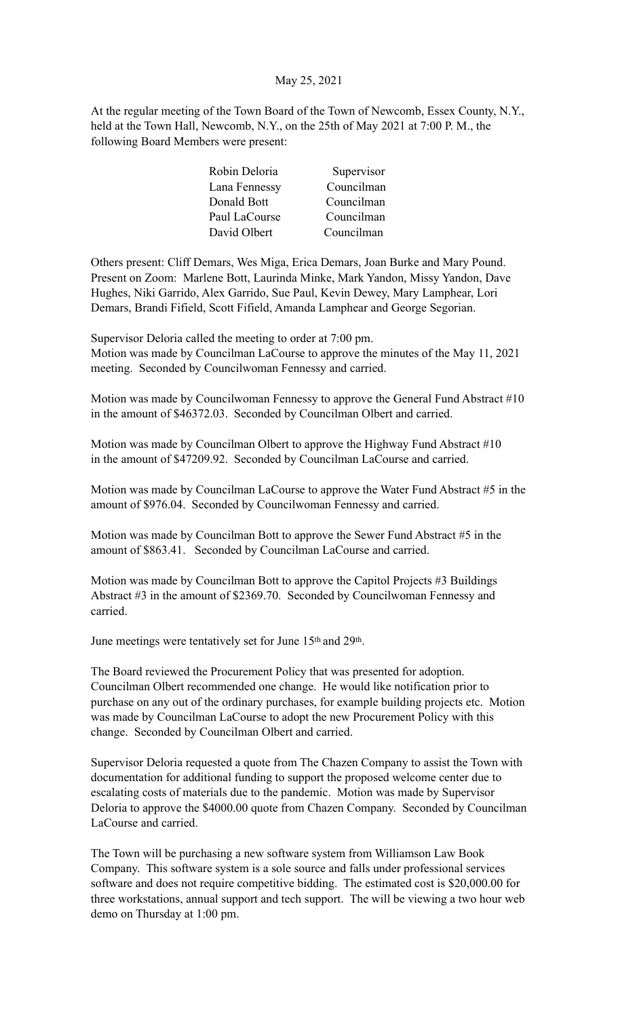# May 25, 2021

At the regular meeting of the Town Board of the Town of Newcomb, Essex County, N.Y., held at the Town Hall, Newcomb, N.Y., on the 25th of May 2021 at 7:00 P. M., the following Board Members were present:

| Robin Deloria | Supervisor |
|---------------|------------|
| Lana Fennessy | Councilman |
| Donald Bott   | Councilman |
| Paul LaCourse | Councilman |
| David Olbert  | Councilman |

Others present: Cliff Demars, Wes Miga, Erica Demars, Joan Burke and Mary Pound. Present on Zoom: Marlene Bott, Laurinda Minke, Mark Yandon, Missy Yandon, Dave Hughes, Niki Garrido, Alex Garrido, Sue Paul, Kevin Dewey, Mary Lamphear, Lori Demars, Brandi Fifield, Scott Fifield, Amanda Lamphear and George Segorian.

Supervisor Deloria called the meeting to order at 7:00 pm. Motion was made by Councilman LaCourse to approve the minutes of the May 11, 2021 meeting. Seconded by Councilwoman Fennessy and carried.

Motion was made by Councilwoman Fennessy to approve the General Fund Abstract #10 in the amount of \$46372.03. Seconded by Councilman Olbert and carried.

Motion was made by Councilman Olbert to approve the Highway Fund Abstract #10 in the amount of \$47209.92. Seconded by Councilman LaCourse and carried.

Motion was made by Councilman LaCourse to approve the Water Fund Abstract #5 in the amount of \$976.04. Seconded by Councilwoman Fennessy and carried.

Motion was made by Councilman Bott to approve the Sewer Fund Abstract #5 in the amount of \$863.41. Seconded by Councilman LaCourse and carried.

Motion was made by Councilman Bott to approve the Capitol Projects #3 Buildings Abstract #3 in the amount of \$2369.70. Seconded by Councilwoman Fennessy and carried.

June meetings were tentatively set for June 15th and 29th.

The Board reviewed the Procurement Policy that was presented for adoption. Councilman Olbert recommended one change. He would like notification prior to purchase on any out of the ordinary purchases, for example building projects etc. Motion was made by Councilman LaCourse to adopt the new Procurement Policy with this change. Seconded by Councilman Olbert and carried.

Supervisor Deloria requested a quote from The Chazen Company to assist the Town with documentation for additional funding to support the proposed welcome center due to escalating costs of materials due to the pandemic. Motion was made by Supervisor Deloria to approve the \$4000.00 quote from Chazen Company. Seconded by Councilman LaCourse and carried.

The Town will be purchasing a new software system from Williamson Law Book Company. This software system is a sole source and falls under professional services software and does not require competitive bidding. The estimated cost is \$20,000.00 for three workstations, annual support and tech support. The will be viewing a two hour web demo on Thursday at 1:00 pm.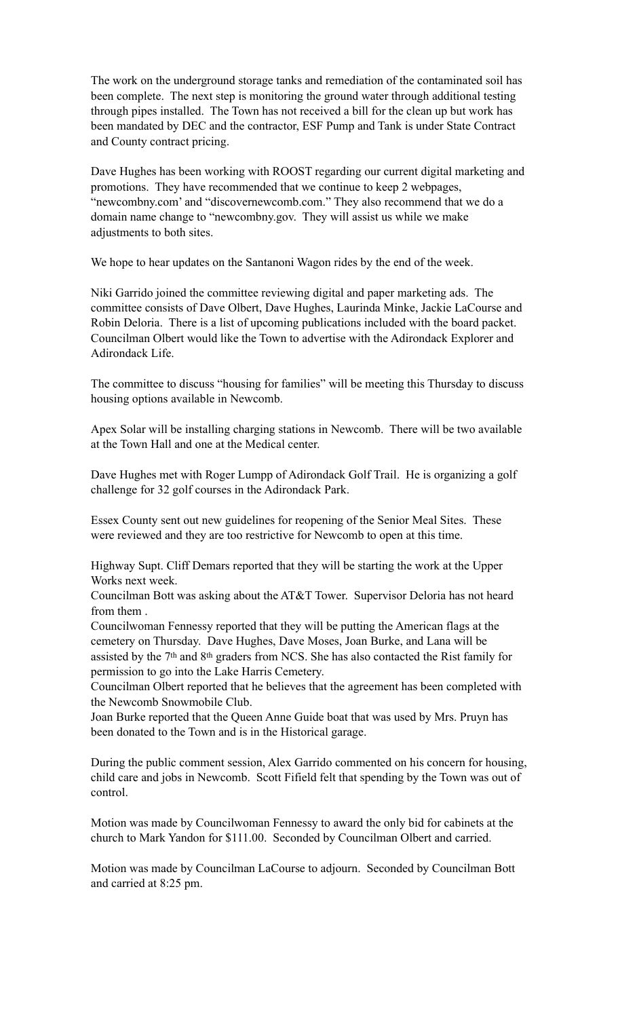The work on the underground storage tanks and remediation of the contaminated soil has been complete. The next step is monitoring the ground water through additional testing through pipes installed. The Town has not received a bill for the clean up but work has been mandated by DEC and the contractor, ESF Pump and Tank is under State Contract and County contract pricing.

Dave Hughes has been working with ROOST regarding our current digital marketing and promotions. They have recommended that we continue to keep 2 webpages, "newcombny.com' and "discovernewcomb.com." They also recommend that we do a domain name change to "newcombny.gov. They will assist us while we make adjustments to both sites.

We hope to hear updates on the Santanoni Wagon rides by the end of the week.

Niki Garrido joined the committee reviewing digital and paper marketing ads. The committee consists of Dave Olbert, Dave Hughes, Laurinda Minke, Jackie LaCourse and Robin Deloria. There is a list of upcoming publications included with the board packet. Councilman Olbert would like the Town to advertise with the Adirondack Explorer and Adirondack Life.

The committee to discuss "housing for families" will be meeting this Thursday to discuss housing options available in Newcomb.

Apex Solar will be installing charging stations in Newcomb. There will be two available at the Town Hall and one at the Medical center.

Dave Hughes met with Roger Lumpp of Adirondack Golf Trail. He is organizing a golf challenge for 32 golf courses in the Adirondack Park.

Essex County sent out new guidelines for reopening of the Senior Meal Sites. These were reviewed and they are too restrictive for Newcomb to open at this time.

Highway Supt. Cliff Demars reported that they will be starting the work at the Upper Works next week.

Councilman Bott was asking about the AT&T Tower. Supervisor Deloria has not heard from them .

Councilwoman Fennessy reported that they will be putting the American flags at the cemetery on Thursday. Dave Hughes, Dave Moses, Joan Burke, and Lana will be assisted by the 7th and 8th graders from NCS. She has also contacted the Rist family for permission to go into the Lake Harris Cemetery.

Councilman Olbert reported that he believes that the agreement has been completed with the Newcomb Snowmobile Club.

Joan Burke reported that the Queen Anne Guide boat that was used by Mrs. Pruyn has been donated to the Town and is in the Historical garage.

During the public comment session, Alex Garrido commented on his concern for housing, child care and jobs in Newcomb. Scott Fifield felt that spending by the Town was out of control.

Motion was made by Councilwoman Fennessy to award the only bid for cabinets at the church to Mark Yandon for \$111.00. Seconded by Councilman Olbert and carried.

Motion was made by Councilman LaCourse to adjourn. Seconded by Councilman Bott and carried at 8:25 pm.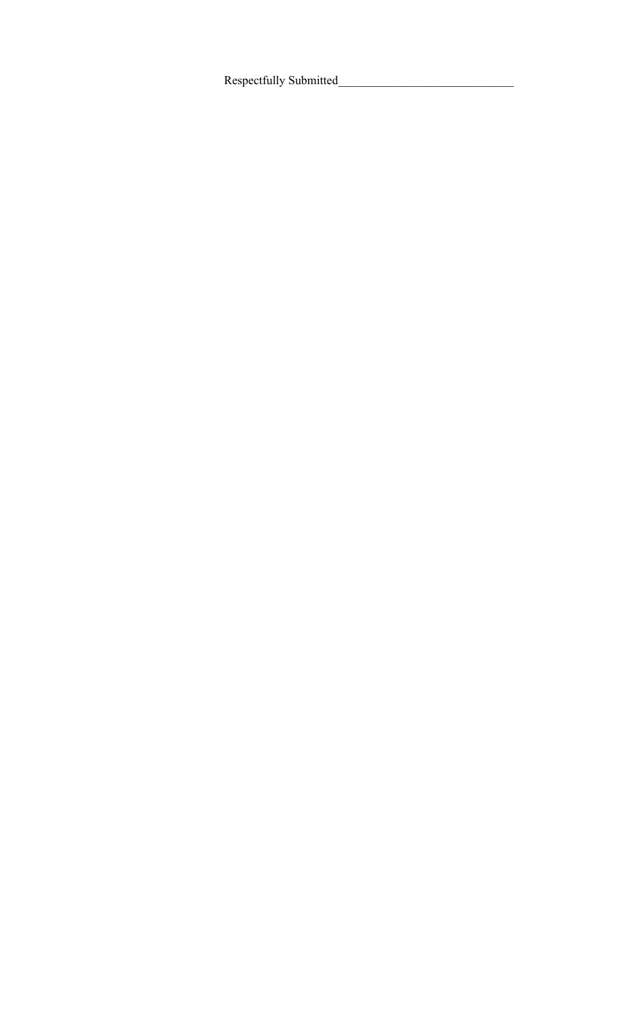Respectfully Submitted\_\_\_\_\_\_\_\_\_\_\_\_\_\_\_\_\_\_\_\_\_\_\_\_\_\_\_\_\_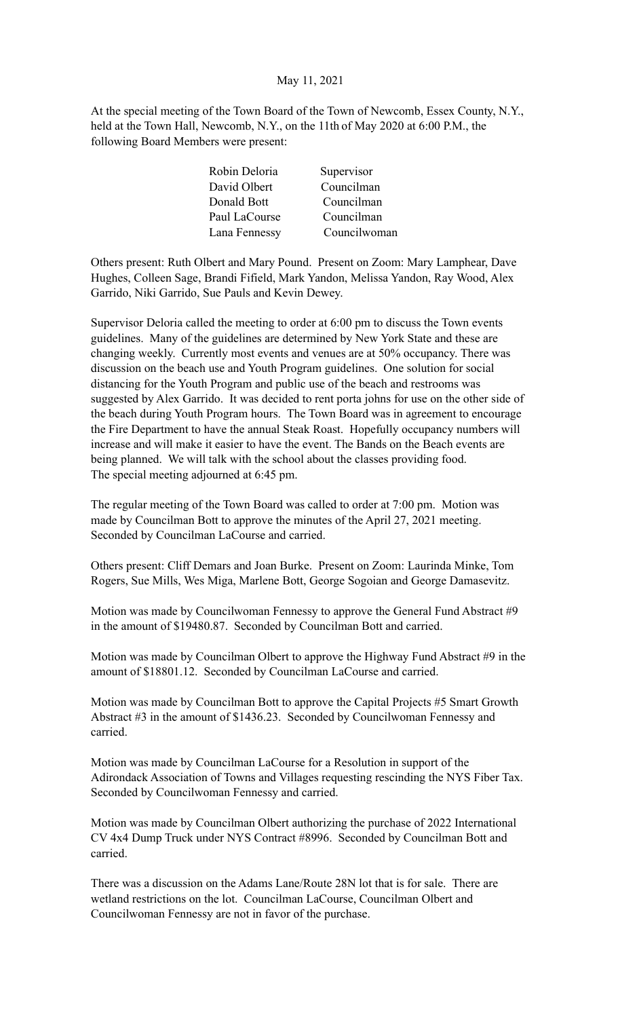### May 11, 2021

At the special meeting of the Town Board of the Town of Newcomb, Essex County, N.Y., held at the Town Hall, Newcomb, N.Y., on the 11th of May 2020 at 6:00 P.M., the following Board Members were present:

| Robin Deloria | Supervisor   |
|---------------|--------------|
| David Olbert  | Councilman   |
| Donald Bott   | Councilman   |
| Paul LaCourse | Councilman   |
| Lana Fennessy | Councilwoman |

Others present: Ruth Olbert and Mary Pound. Present on Zoom: Mary Lamphear, Dave Hughes, Colleen Sage, Brandi Fifield, Mark Yandon, Melissa Yandon, Ray Wood, Alex Garrido, Niki Garrido, Sue Pauls and Kevin Dewey.

Supervisor Deloria called the meeting to order at 6:00 pm to discuss the Town events guidelines. Many of the guidelines are determined by New York State and these are changing weekly. Currently most events and venues are at 50% occupancy. There was discussion on the beach use and Youth Program guidelines. One solution for social distancing for the Youth Program and public use of the beach and restrooms was suggested by Alex Garrido. It was decided to rent porta johns for use on the other side of the beach during Youth Program hours. The Town Board was in agreement to encourage the Fire Department to have the annual Steak Roast. Hopefully occupancy numbers will increase and will make it easier to have the event. The Bands on the Beach events are being planned. We will talk with the school about the classes providing food. The special meeting adjourned at 6:45 pm.

The regular meeting of the Town Board was called to order at 7:00 pm. Motion was made by Councilman Bott to approve the minutes of the April 27, 2021 meeting. Seconded by Councilman LaCourse and carried.

Others present: Cliff Demars and Joan Burke. Present on Zoom: Laurinda Minke, Tom Rogers, Sue Mills, Wes Miga, Marlene Bott, George Sogoian and George Damasevitz.

Motion was made by Councilwoman Fennessy to approve the General Fund Abstract #9 in the amount of \$19480.87. Seconded by Councilman Bott and carried.

Motion was made by Councilman Olbert to approve the Highway Fund Abstract #9 in the amount of \$18801.12. Seconded by Councilman LaCourse and carried.

Motion was made by Councilman Bott to approve the Capital Projects #5 Smart Growth Abstract #3 in the amount of \$1436.23. Seconded by Councilwoman Fennessy and carried.

Motion was made by Councilman LaCourse for a Resolution in support of the Adirondack Association of Towns and Villages requesting rescinding the NYS Fiber Tax. Seconded by Councilwoman Fennessy and carried.

Motion was made by Councilman Olbert authorizing the purchase of 2022 International CV 4x4 Dump Truck under NYS Contract #8996. Seconded by Councilman Bott and carried.

There was a discussion on the Adams Lane/Route 28N lot that is for sale. There are wetland restrictions on the lot. Councilman LaCourse, Councilman Olbert and Councilwoman Fennessy are not in favor of the purchase.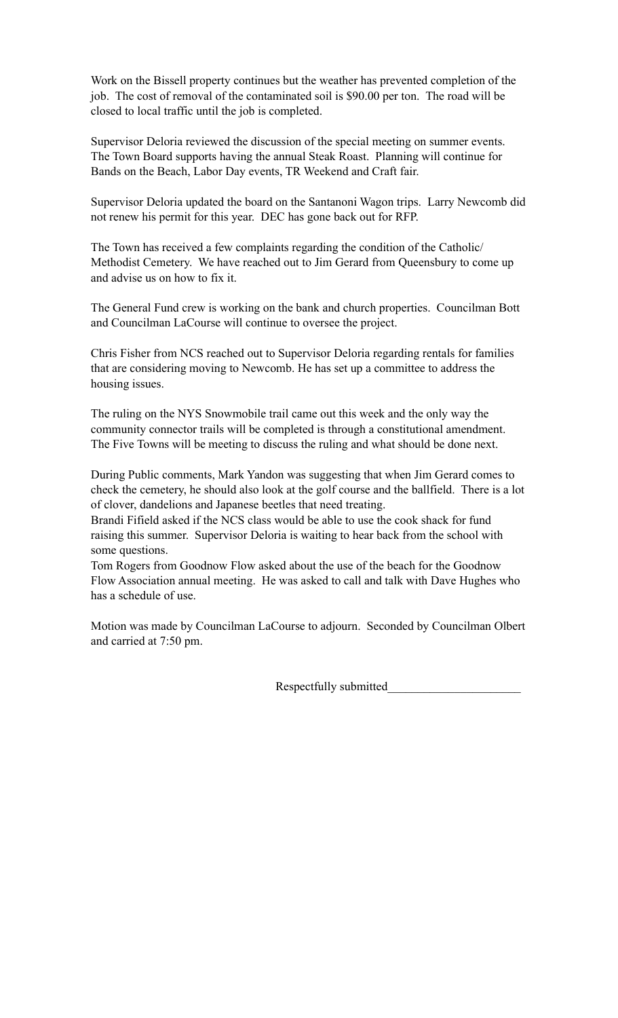Work on the Bissell property continues but the weather has prevented completion of the job. The cost of removal of the contaminated soil is \$90.00 per ton. The road will be closed to local traffic until the job is completed.

Supervisor Deloria reviewed the discussion of the special meeting on summer events. The Town Board supports having the annual Steak Roast. Planning will continue for Bands on the Beach, Labor Day events, TR Weekend and Craft fair.

Supervisor Deloria updated the board on the Santanoni Wagon trips. Larry Newcomb did not renew his permit for this year. DEC has gone back out for RFP.

The Town has received a few complaints regarding the condition of the Catholic/ Methodist Cemetery. We have reached out to Jim Gerard from Queensbury to come up and advise us on how to fix it.

The General Fund crew is working on the bank and church properties. Councilman Bott and Councilman LaCourse will continue to oversee the project.

Chris Fisher from NCS reached out to Supervisor Deloria regarding rentals for families that are considering moving to Newcomb. He has set up a committee to address the housing issues.

The ruling on the NYS Snowmobile trail came out this week and the only way the community connector trails will be completed is through a constitutional amendment. The Five Towns will be meeting to discuss the ruling and what should be done next.

During Public comments, Mark Yandon was suggesting that when Jim Gerard comes to check the cemetery, he should also look at the golf course and the ballfield. There is a lot of clover, dandelions and Japanese beetles that need treating.

Brandi Fifield asked if the NCS class would be able to use the cook shack for fund raising this summer. Supervisor Deloria is waiting to hear back from the school with some questions.

Tom Rogers from Goodnow Flow asked about the use of the beach for the Goodnow Flow Association annual meeting. He was asked to call and talk with Dave Hughes who has a schedule of use.

Motion was made by Councilman LaCourse to adjourn. Seconded by Councilman Olbert and carried at 7:50 pm.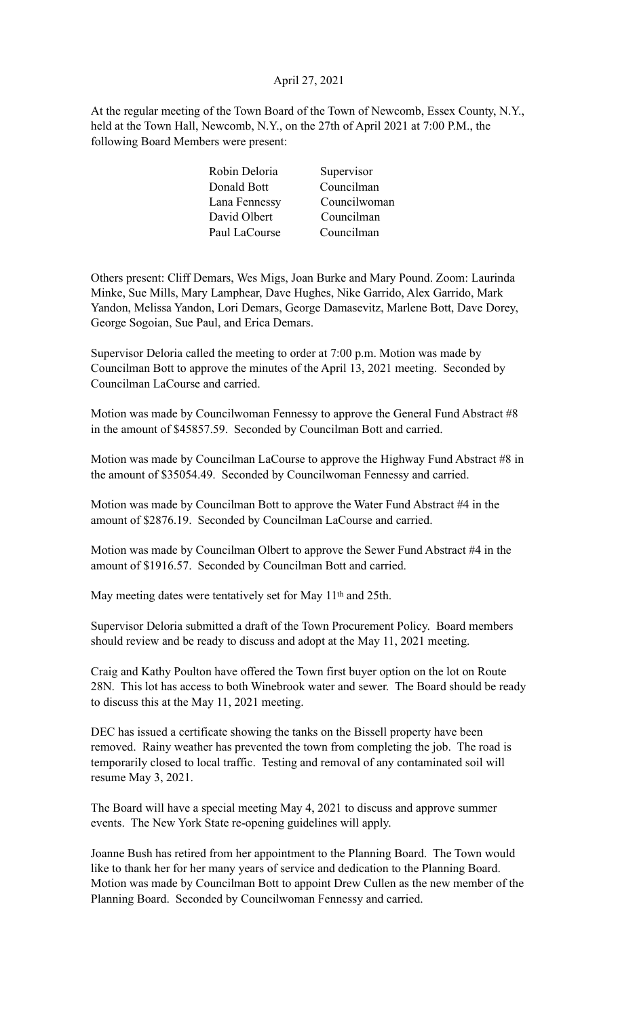# April 27, 2021

At the regular meeting of the Town Board of the Town of Newcomb, Essex County, N.Y., held at the Town Hall, Newcomb, N.Y., on the 27th of April 2021 at 7:00 P.M., the following Board Members were present:

| Robin Deloria | Supervisor   |
|---------------|--------------|
| Donald Bott   | Councilman   |
| Lana Fennessy | Councilwoman |
| David Olbert  | Councilman   |
| Paul LaCourse | Councilman   |
|               |              |

Others present: Cliff Demars, Wes Migs, Joan Burke and Mary Pound. Zoom: Laurinda Minke, Sue Mills, Mary Lamphear, Dave Hughes, Nike Garrido, Alex Garrido, Mark Yandon, Melissa Yandon, Lori Demars, George Damasevitz, Marlene Bott, Dave Dorey, George Sogoian, Sue Paul, and Erica Demars.

Supervisor Deloria called the meeting to order at 7:00 p.m. Motion was made by Councilman Bott to approve the minutes of the April 13, 2021 meeting. Seconded by Councilman LaCourse and carried.

Motion was made by Councilwoman Fennessy to approve the General Fund Abstract #8 in the amount of \$45857.59. Seconded by Councilman Bott and carried.

Motion was made by Councilman LaCourse to approve the Highway Fund Abstract #8 in the amount of \$35054.49. Seconded by Councilwoman Fennessy and carried.

Motion was made by Councilman Bott to approve the Water Fund Abstract #4 in the amount of \$2876.19. Seconded by Councilman LaCourse and carried.

Motion was made by Councilman Olbert to approve the Sewer Fund Abstract #4 in the amount of \$1916.57. Seconded by Councilman Bott and carried.

May meeting dates were tentatively set for May 11<sup>th</sup> and 25th.

Supervisor Deloria submitted a draft of the Town Procurement Policy. Board members should review and be ready to discuss and adopt at the May 11, 2021 meeting.

Craig and Kathy Poulton have offered the Town first buyer option on the lot on Route 28N. This lot has access to both Winebrook water and sewer. The Board should be ready to discuss this at the May 11, 2021 meeting.

DEC has issued a certificate showing the tanks on the Bissell property have been removed. Rainy weather has prevented the town from completing the job. The road is temporarily closed to local traffic. Testing and removal of any contaminated soil will resume May 3, 2021.

The Board will have a special meeting May 4, 2021 to discuss and approve summer events. The New York State re-opening guidelines will apply.

Joanne Bush has retired from her appointment to the Planning Board. The Town would like to thank her for her many years of service and dedication to the Planning Board. Motion was made by Councilman Bott to appoint Drew Cullen as the new member of the Planning Board. Seconded by Councilwoman Fennessy and carried.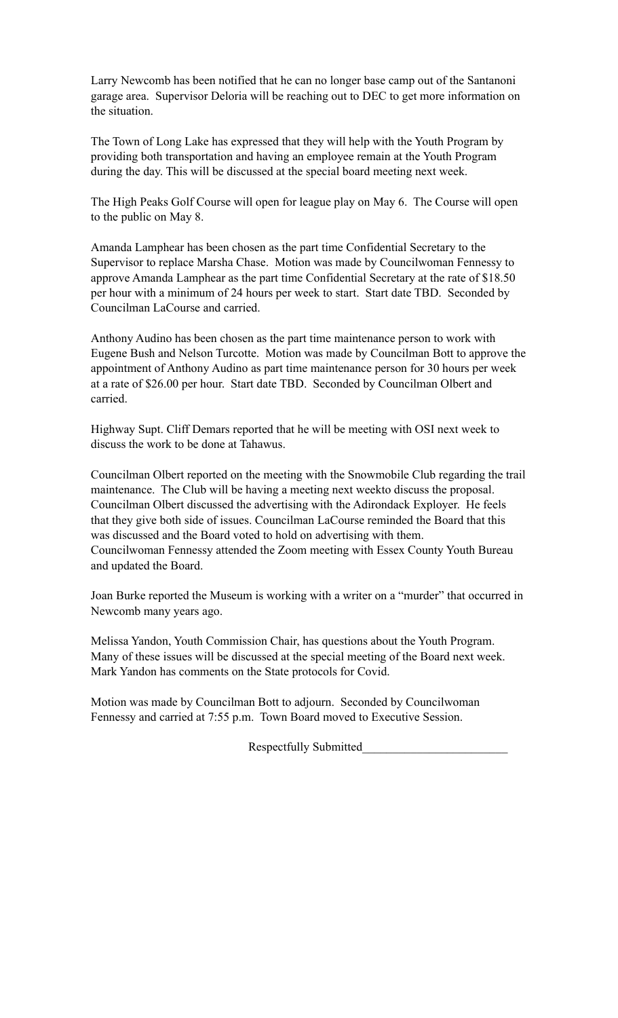Larry Newcomb has been notified that he can no longer base camp out of the Santanoni garage area. Supervisor Deloria will be reaching out to DEC to get more information on the situation.

The Town of Long Lake has expressed that they will help with the Youth Program by providing both transportation and having an employee remain at the Youth Program during the day. This will be discussed at the special board meeting next week.

The High Peaks Golf Course will open for league play on May 6. The Course will open to the public on May 8.

Amanda Lamphear has been chosen as the part time Confidential Secretary to the Supervisor to replace Marsha Chase. Motion was made by Councilwoman Fennessy to approve Amanda Lamphear as the part time Confidential Secretary at the rate of \$18.50 per hour with a minimum of 24 hours per week to start. Start date TBD. Seconded by Councilman LaCourse and carried.

Anthony Audino has been chosen as the part time maintenance person to work with Eugene Bush and Nelson Turcotte. Motion was made by Councilman Bott to approve the appointment of Anthony Audino as part time maintenance person for 30 hours per week at a rate of \$26.00 per hour. Start date TBD. Seconded by Councilman Olbert and carried.

Highway Supt. Cliff Demars reported that he will be meeting with OSI next week to discuss the work to be done at Tahawus.

Councilman Olbert reported on the meeting with the Snowmobile Club regarding the trail maintenance. The Club will be having a meeting next weekto discuss the proposal. Councilman Olbert discussed the advertising with the Adirondack Exployer. He feels that they give both side of issues. Councilman LaCourse reminded the Board that this was discussed and the Board voted to hold on advertising with them. Councilwoman Fennessy attended the Zoom meeting with Essex County Youth Bureau and updated the Board.

Joan Burke reported the Museum is working with a writer on a "murder" that occurred in Newcomb many years ago.

Melissa Yandon, Youth Commission Chair, has questions about the Youth Program. Many of these issues will be discussed at the special meeting of the Board next week. Mark Yandon has comments on the State protocols for Covid.

Motion was made by Councilman Bott to adjourn. Seconded by Councilwoman Fennessy and carried at 7:55 p.m. Town Board moved to Executive Session.

Respectfully Submitted\_\_\_\_\_\_\_\_\_\_\_\_\_\_\_\_\_\_\_\_\_\_\_\_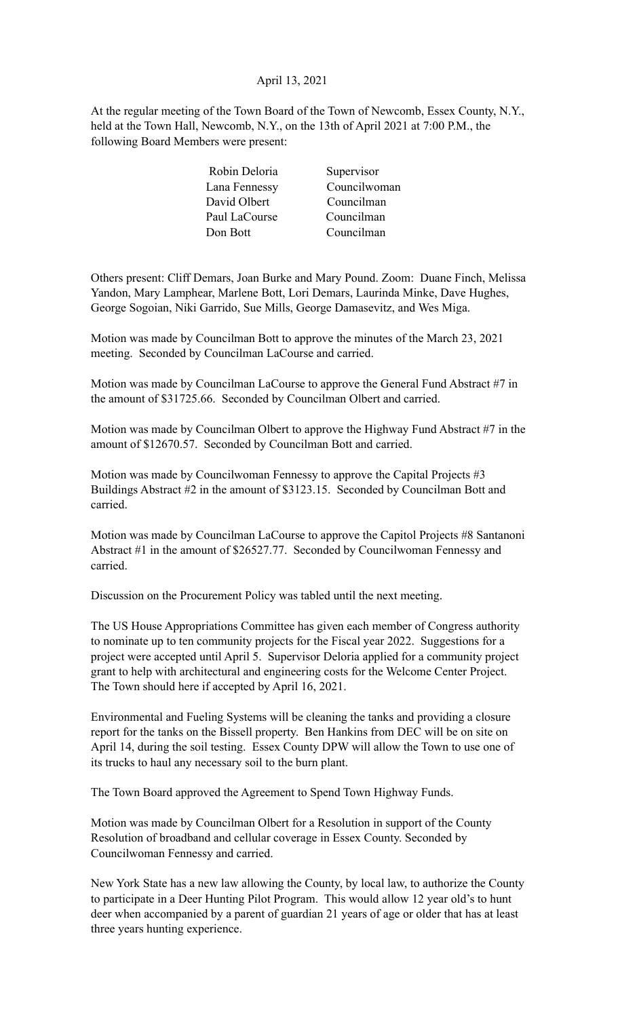# April 13, 2021

At the regular meeting of the Town Board of the Town of Newcomb, Essex County, N.Y., held at the Town Hall, Newcomb, N.Y., on the 13th of April 2021 at 7:00 P.M., the following Board Members were present:

| Robin Deloria | Supervisor   |
|---------------|--------------|
| Lana Fennessy | Councilwoman |
| David Olbert  | Councilman   |
| Paul LaCourse | Councilman   |
| Don Bott      | Councilman   |
|               |              |

Others present: Cliff Demars, Joan Burke and Mary Pound. Zoom: Duane Finch, Melissa Yandon, Mary Lamphear, Marlene Bott, Lori Demars, Laurinda Minke, Dave Hughes, George Sogoian, Niki Garrido, Sue Mills, George Damasevitz, and Wes Miga.

Motion was made by Councilman Bott to approve the minutes of the March 23, 2021 meeting. Seconded by Councilman LaCourse and carried.

Motion was made by Councilman LaCourse to approve the General Fund Abstract #7 in the amount of \$31725.66. Seconded by Councilman Olbert and carried.

Motion was made by Councilman Olbert to approve the Highway Fund Abstract #7 in the amount of \$12670.57. Seconded by Councilman Bott and carried.

Motion was made by Councilwoman Fennessy to approve the Capital Projects #3 Buildings Abstract #2 in the amount of \$3123.15. Seconded by Councilman Bott and carried.

Motion was made by Councilman LaCourse to approve the Capitol Projects #8 Santanoni Abstract #1 in the amount of \$26527.77. Seconded by Councilwoman Fennessy and carried.

Discussion on the Procurement Policy was tabled until the next meeting.

The US House Appropriations Committee has given each member of Congress authority to nominate up to ten community projects for the Fiscal year 2022. Suggestions for a project were accepted until April 5. Supervisor Deloria applied for a community project grant to help with architectural and engineering costs for the Welcome Center Project. The Town should here if accepted by April 16, 2021.

Environmental and Fueling Systems will be cleaning the tanks and providing a closure report for the tanks on the Bissell property. Ben Hankins from DEC will be on site on April 14, during the soil testing. Essex County DPW will allow the Town to use one of its trucks to haul any necessary soil to the burn plant.

The Town Board approved the Agreement to Spend Town Highway Funds.

Motion was made by Councilman Olbert for a Resolution in support of the County Resolution of broadband and cellular coverage in Essex County. Seconded by Councilwoman Fennessy and carried.

New York State has a new law allowing the County, by local law, to authorize the County to participate in a Deer Hunting Pilot Program. This would allow 12 year old's to hunt deer when accompanied by a parent of guardian 21 years of age or older that has at least three years hunting experience.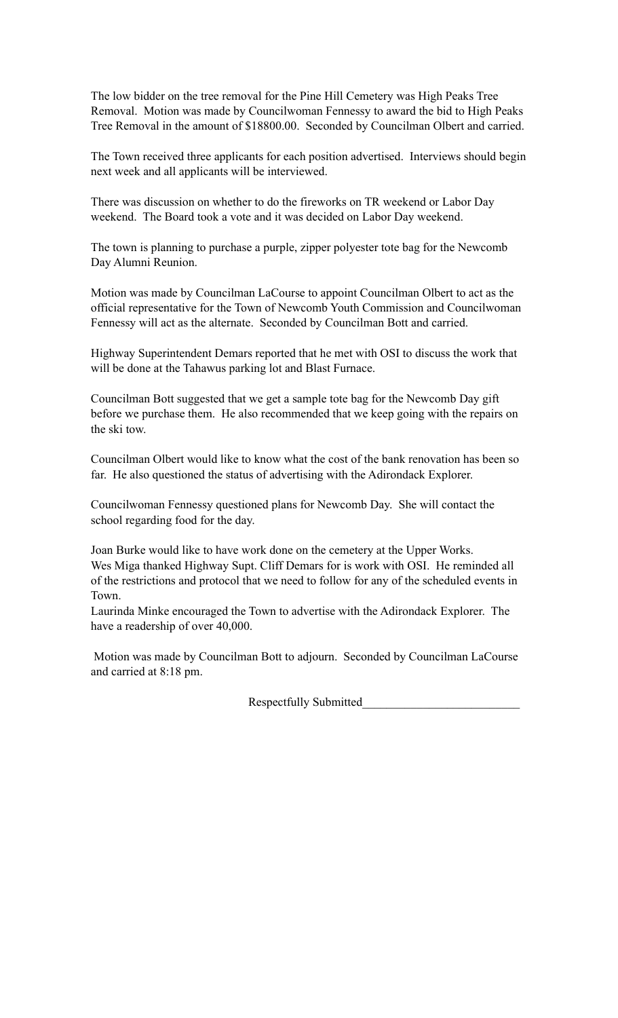The low bidder on the tree removal for the Pine Hill Cemetery was High Peaks Tree Removal. Motion was made by Councilwoman Fennessy to award the bid to High Peaks Tree Removal in the amount of \$18800.00. Seconded by Councilman Olbert and carried.

The Town received three applicants for each position advertised. Interviews should begin next week and all applicants will be interviewed.

There was discussion on whether to do the fireworks on TR weekend or Labor Day weekend. The Board took a vote and it was decided on Labor Day weekend.

The town is planning to purchase a purple, zipper polyester tote bag for the Newcomb Day Alumni Reunion.

Motion was made by Councilman LaCourse to appoint Councilman Olbert to act as the official representative for the Town of Newcomb Youth Commission and Councilwoman Fennessy will act as the alternate. Seconded by Councilman Bott and carried.

Highway Superintendent Demars reported that he met with OSI to discuss the work that will be done at the Tahawus parking lot and Blast Furnace.

Councilman Bott suggested that we get a sample tote bag for the Newcomb Day gift before we purchase them. He also recommended that we keep going with the repairs on the ski tow.

Councilman Olbert would like to know what the cost of the bank renovation has been so far. He also questioned the status of advertising with the Adirondack Explorer.

Councilwoman Fennessy questioned plans for Newcomb Day. She will contact the school regarding food for the day.

Joan Burke would like to have work done on the cemetery at the Upper Works. Wes Miga thanked Highway Supt. Cliff Demars for is work with OSI. He reminded all of the restrictions and protocol that we need to follow for any of the scheduled events in Town.

Laurinda Minke encouraged the Town to advertise with the Adirondack Explorer. The have a readership of over 40,000.

 Motion was made by Councilman Bott to adjourn. Seconded by Councilman LaCourse and carried at 8:18 pm.

Respectfully Submitted\_\_\_\_\_\_\_\_\_\_\_\_\_\_\_\_\_\_\_\_\_\_\_\_\_\_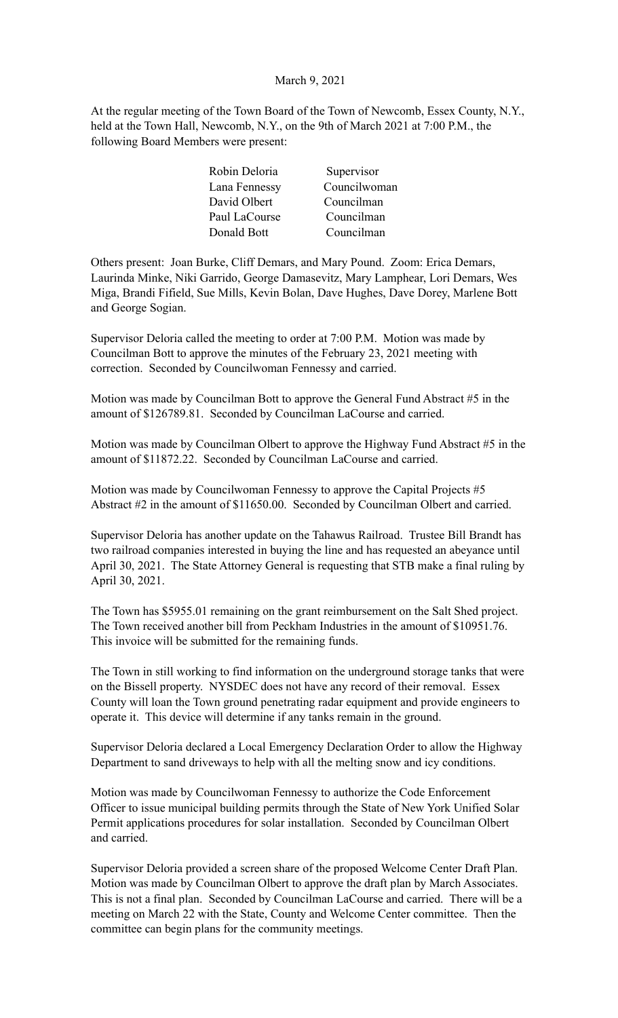# March 9, 2021

At the regular meeting of the Town Board of the Town of Newcomb, Essex County, N.Y., held at the Town Hall, Newcomb, N.Y., on the 9th of March 2021 at 7:00 P.M., the following Board Members were present:

| Supervisor   |
|--------------|
| Councilwoman |
| Councilman   |
| Councilman   |
| Councilman   |
|              |

Others present: Joan Burke, Cliff Demars, and Mary Pound. Zoom: Erica Demars, Laurinda Minke, Niki Garrido, George Damasevitz, Mary Lamphear, Lori Demars, Wes Miga, Brandi Fifield, Sue Mills, Kevin Bolan, Dave Hughes, Dave Dorey, Marlene Bott and George Sogian.

Supervisor Deloria called the meeting to order at 7:00 P.M. Motion was made by Councilman Bott to approve the minutes of the February 23, 2021 meeting with correction. Seconded by Councilwoman Fennessy and carried.

Motion was made by Councilman Bott to approve the General Fund Abstract #5 in the amount of \$126789.81. Seconded by Councilman LaCourse and carried.

Motion was made by Councilman Olbert to approve the Highway Fund Abstract #5 in the amount of \$11872.22. Seconded by Councilman LaCourse and carried.

Motion was made by Councilwoman Fennessy to approve the Capital Projects #5 Abstract #2 in the amount of \$11650.00. Seconded by Councilman Olbert and carried.

Supervisor Deloria has another update on the Tahawus Railroad. Trustee Bill Brandt has two railroad companies interested in buying the line and has requested an abeyance until April 30, 2021. The State Attorney General is requesting that STB make a final ruling by April 30, 2021.

The Town has \$5955.01 remaining on the grant reimbursement on the Salt Shed project. The Town received another bill from Peckham Industries in the amount of \$10951.76. This invoice will be submitted for the remaining funds.

The Town in still working to find information on the underground storage tanks that were on the Bissell property. NYSDEC does not have any record of their removal. Essex County will loan the Town ground penetrating radar equipment and provide engineers to operate it. This device will determine if any tanks remain in the ground.

Supervisor Deloria declared a Local Emergency Declaration Order to allow the Highway Department to sand driveways to help with all the melting snow and icy conditions.

Motion was made by Councilwoman Fennessy to authorize the Code Enforcement Officer to issue municipal building permits through the State of New York Unified Solar Permit applications procedures for solar installation. Seconded by Councilman Olbert and carried.

Supervisor Deloria provided a screen share of the proposed Welcome Center Draft Plan. Motion was made by Councilman Olbert to approve the draft plan by March Associates. This is not a final plan. Seconded by Councilman LaCourse and carried. There will be a meeting on March 22 with the State, County and Welcome Center committee. Then the committee can begin plans for the community meetings.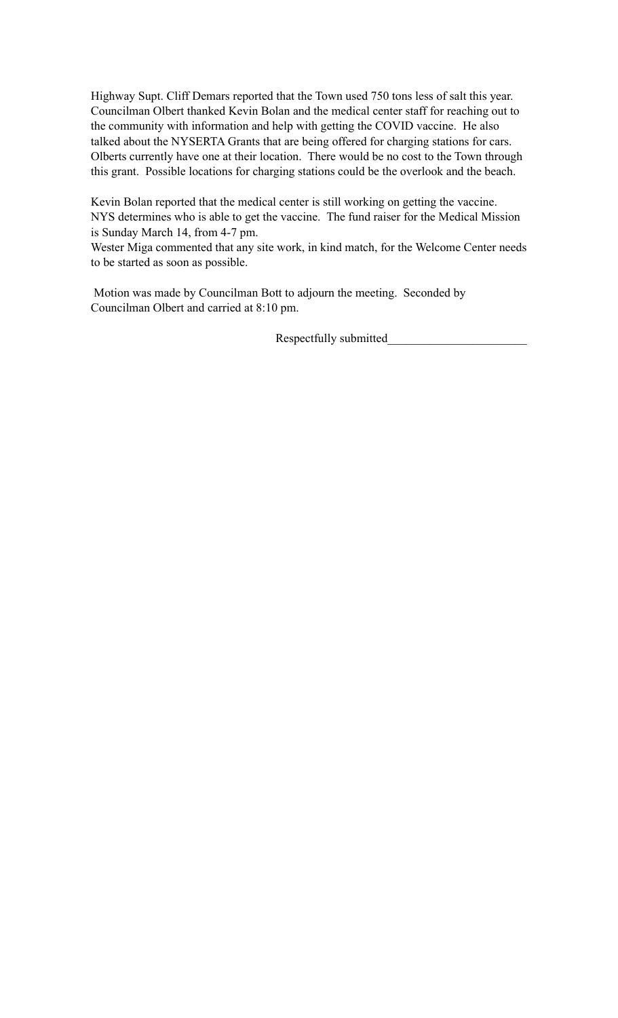Highway Supt. Cliff Demars reported that the Town used 750 tons less of salt this year. Councilman Olbert thanked Kevin Bolan and the medical center staff for reaching out to the community with information and help with getting the COVID vaccine. He also talked about the NYSERTA Grants that are being offered for charging stations for cars. Olberts currently have one at their location. There would be no cost to the Town through this grant. Possible locations for charging stations could be the overlook and the beach.

Kevin Bolan reported that the medical center is still working on getting the vaccine. NYS determines who is able to get the vaccine. The fund raiser for the Medical Mission is Sunday March 14, from 4-7 pm.

Wester Miga commented that any site work, in kind match, for the Welcome Center needs to be started as soon as possible.

 Motion was made by Councilman Bott to adjourn the meeting. Seconded by Councilman Olbert and carried at 8:10 pm.

Respectfully submitted\_\_\_\_\_\_\_\_\_\_\_\_\_\_\_\_\_\_\_\_\_\_\_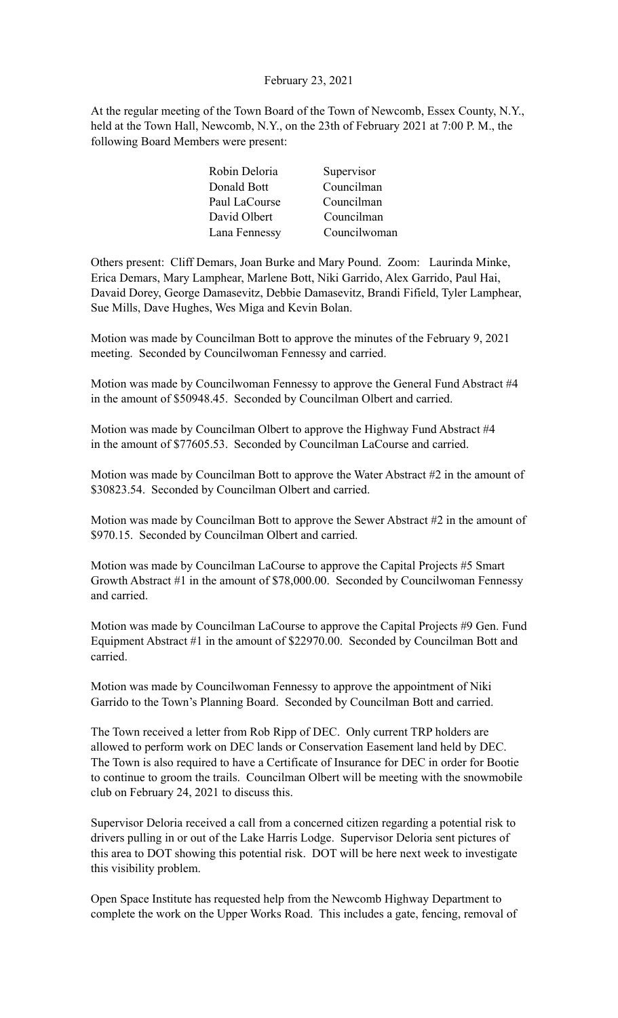### February 23, 2021

At the regular meeting of the Town Board of the Town of Newcomb, Essex County, N.Y., held at the Town Hall, Newcomb, N.Y., on the 23th of February 2021 at 7:00 P. M., the following Board Members were present:

| Robin Deloria | Supervisor   |
|---------------|--------------|
| Donald Bott   | Councilman   |
| Paul LaCourse | Councilman   |
| David Olbert  | Councilman   |
| Lana Fennessy | Councilwoman |

Others present: Cliff Demars, Joan Burke and Mary Pound. Zoom: Laurinda Minke, Erica Demars, Mary Lamphear, Marlene Bott, Niki Garrido, Alex Garrido, Paul Hai, Davaid Dorey, George Damasevitz, Debbie Damasevitz, Brandi Fifield, Tyler Lamphear, Sue Mills, Dave Hughes, Wes Miga and Kevin Bolan.

Motion was made by Councilman Bott to approve the minutes of the February 9, 2021 meeting. Seconded by Councilwoman Fennessy and carried.

Motion was made by Councilwoman Fennessy to approve the General Fund Abstract #4 in the amount of \$50948.45. Seconded by Councilman Olbert and carried.

Motion was made by Councilman Olbert to approve the Highway Fund Abstract #4 in the amount of \$77605.53. Seconded by Councilman LaCourse and carried.

Motion was made by Councilman Bott to approve the Water Abstract #2 in the amount of \$30823.54. Seconded by Councilman Olbert and carried.

Motion was made by Councilman Bott to approve the Sewer Abstract #2 in the amount of \$970.15. Seconded by Councilman Olbert and carried.

Motion was made by Councilman LaCourse to approve the Capital Projects #5 Smart Growth Abstract #1 in the amount of \$78,000.00. Seconded by Councilwoman Fennessy and carried.

Motion was made by Councilman LaCourse to approve the Capital Projects #9 Gen. Fund Equipment Abstract #1 in the amount of \$22970.00. Seconded by Councilman Bott and carried.

Motion was made by Councilwoman Fennessy to approve the appointment of Niki Garrido to the Town's Planning Board. Seconded by Councilman Bott and carried.

The Town received a letter from Rob Ripp of DEC. Only current TRP holders are allowed to perform work on DEC lands or Conservation Easement land held by DEC. The Town is also required to have a Certificate of Insurance for DEC in order for Bootie to continue to groom the trails. Councilman Olbert will be meeting with the snowmobile club on February 24, 2021 to discuss this.

Supervisor Deloria received a call from a concerned citizen regarding a potential risk to drivers pulling in or out of the Lake Harris Lodge. Supervisor Deloria sent pictures of this area to DOT showing this potential risk. DOT will be here next week to investigate this visibility problem.

Open Space Institute has requested help from the Newcomb Highway Department to complete the work on the Upper Works Road. This includes a gate, fencing, removal of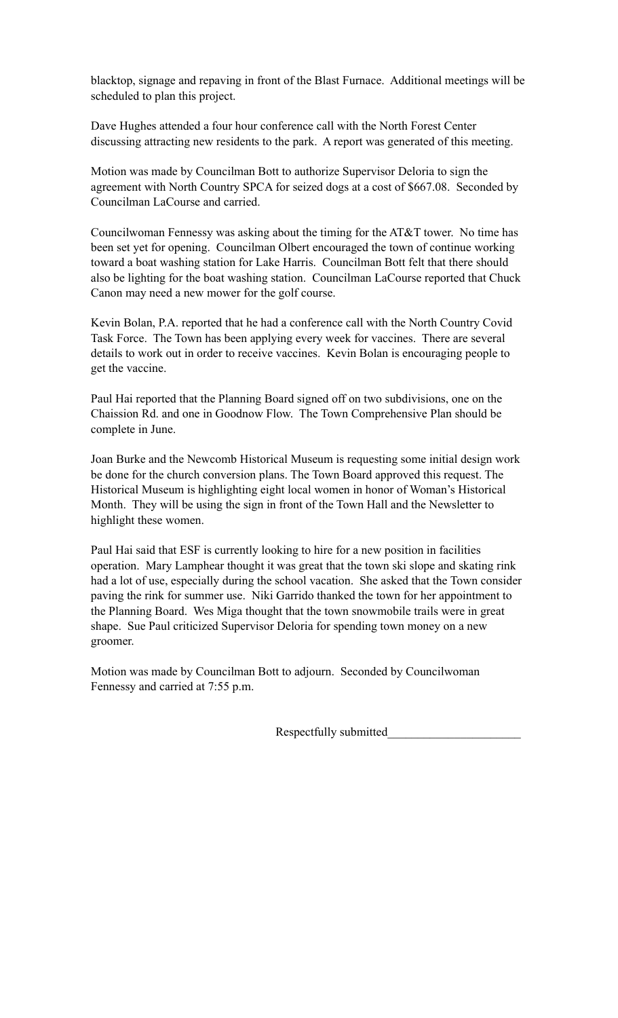blacktop, signage and repaving in front of the Blast Furnace. Additional meetings will be scheduled to plan this project.

Dave Hughes attended a four hour conference call with the North Forest Center discussing attracting new residents to the park. A report was generated of this meeting.

Motion was made by Councilman Bott to authorize Supervisor Deloria to sign the agreement with North Country SPCA for seized dogs at a cost of \$667.08. Seconded by Councilman LaCourse and carried.

Councilwoman Fennessy was asking about the timing for the AT&T tower. No time has been set yet for opening. Councilman Olbert encouraged the town of continue working toward a boat washing station for Lake Harris. Councilman Bott felt that there should also be lighting for the boat washing station. Councilman LaCourse reported that Chuck Canon may need a new mower for the golf course.

Kevin Bolan, P.A. reported that he had a conference call with the North Country Covid Task Force. The Town has been applying every week for vaccines. There are several details to work out in order to receive vaccines. Kevin Bolan is encouraging people to get the vaccine.

Paul Hai reported that the Planning Board signed off on two subdivisions, one on the Chaission Rd. and one in Goodnow Flow. The Town Comprehensive Plan should be complete in June.

Joan Burke and the Newcomb Historical Museum is requesting some initial design work be done for the church conversion plans. The Town Board approved this request. The Historical Museum is highlighting eight local women in honor of Woman's Historical Month. They will be using the sign in front of the Town Hall and the Newsletter to highlight these women.

Paul Hai said that ESF is currently looking to hire for a new position in facilities operation. Mary Lamphear thought it was great that the town ski slope and skating rink had a lot of use, especially during the school vacation. She asked that the Town consider paving the rink for summer use. Niki Garrido thanked the town for her appointment to the Planning Board. Wes Miga thought that the town snowmobile trails were in great shape. Sue Paul criticized Supervisor Deloria for spending town money on a new groomer.

Motion was made by Councilman Bott to adjourn. Seconded by Councilwoman Fennessy and carried at 7:55 p.m.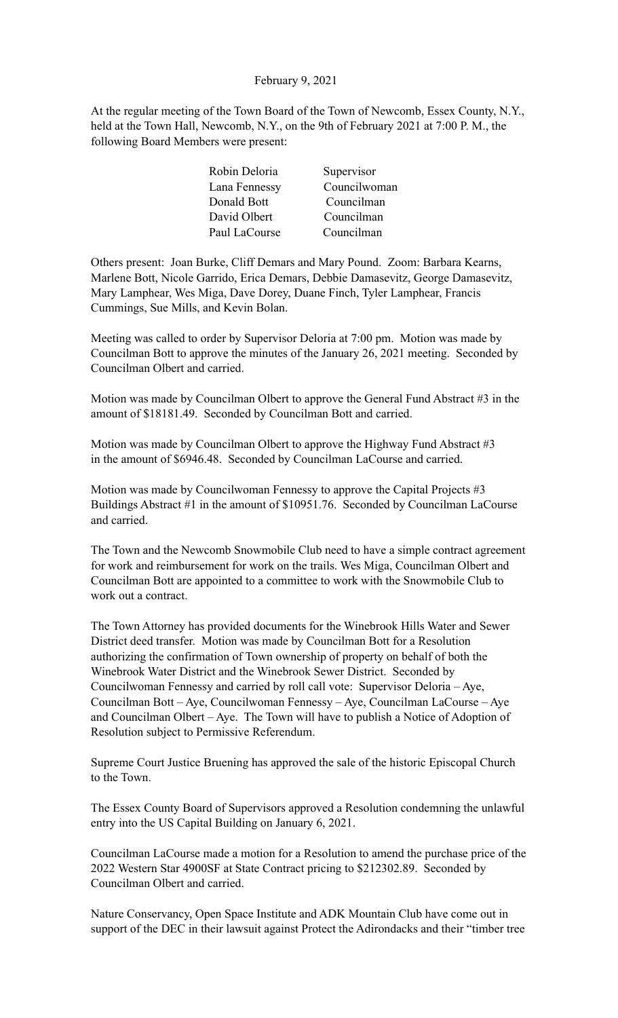February 9, 2021

At the regular meeting of the Town Board of the Town of Newcomb, Essex County, N.Y., held at the Town Hall, Newcomb, N.Y., on the 9th of February 2021 at 7:00 P. M., the following Board Members were present:

| Supervisor   |
|--------------|
| Councilwoman |
| Councilman   |
| Councilman   |
| Councilman   |
|              |

Others present: Joan Burke, Cliff Demars and Mary Pound. Zoom: Barbara Kearns, Marlene Bott, Nicole Garrido, Erica Demars, Debbie Damasevitz, George Damasevitz, Mary Lamphear, Wes Miga, Dave Dorey, Duane Finch, Tyler Lamphear, Francis Cummings, Sue Mills, and Kevin Bolan.

Meeting was called to order by Supervisor Deloria at 7:00 pm. Motion was made by Councilman Bott to approve the minutes of the January 26, 2021 meeting. Seconded by Councilman Olbert and carried.

Motion was made by Councilman Olbert to approve the General Fund Abstract #3 in the amount of \$18181.49. Seconded by Councilman Bott and carried.

Motion was made by Councilman Olbert to approve the Highway Fund Abstract #3 in the amount of \$6946.48. Seconded by Councilman LaCourse and carried.

Motion was made by Councilwoman Fennessy to approve the Capital Projects #3 Buildings Abstract #1 in the amount of \$10951.76. Seconded by Councilman LaCourse and carried.

The Town and the Newcomb Snowmobile Club need to have a simple contract agreement for work and reimbursement for work on the trails. Wes Miga, Councilman Olbert and Councilman Bott are appointed to a committee to work with the Snowmobile Club to work out a contract.

The Town Attorney has provided documents for the Winebrook Hills Water and Sewer District deed transfer. Motion was made by Councilman Bott for a Resolution authorizing the confirmation of Town ownership of property on behalf of both the Winebrook Water District and the Winebrook Sewer District. Seconded by Councilwoman Fennessy and carried by roll call vote: Supervisor Deloria – Aye, Councilman Bott – Aye, Councilwoman Fennessy – Aye, Councilman LaCourse – Aye and Councilman Olbert – Aye. The Town will have to publish a Notice of Adoption of Resolution subject to Permissive Referendum.

Supreme Court Justice Bruening has approved the sale of the historic Episcopal Church to the Town.

The Essex County Board of Supervisors approved a Resolution condemning the unlawful entry into the US Capital Building on January 6, 2021.

Councilman LaCourse made a motion for a Resolution to amend the purchase price of the 2022 Western Star 4900SF at State Contract pricing to \$212302.89. Seconded by Councilman Olbert and carried.

Nature Conservancy, Open Space Institute and ADK Mountain Club have come out in support of the DEC in their lawsuit against Protect the Adirondacks and their "timber tree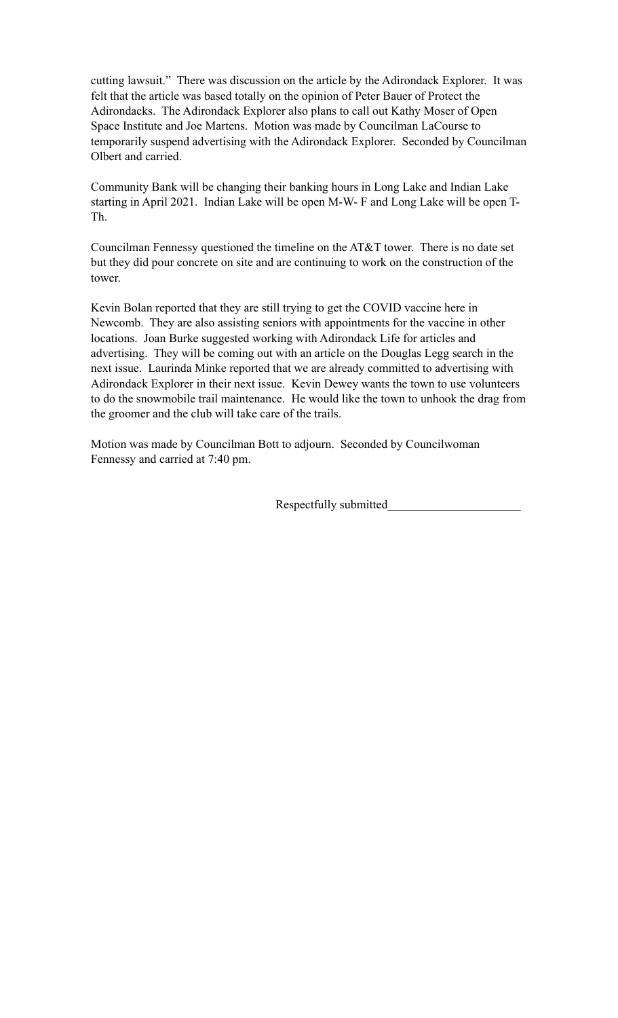cutting lawsuit." There was discussion on the article by the Adirondack Explorer. It was felt that the article was based totally on the opinion of Peter Bauer of Protect the Adirondacks. The Adirondack Explorer also plans to call out Kathy Moser of Open Space Institute and Joe Martens. Motion was made by Councilman LaCourse to temporarily suspend advertising with the Adirondack Explorer. Seconded by Councilman Olbert and carried.

Community Bank will be changing their banking hours in Long Lake and Indian Lake starting in April 2021. Indian Lake will be open M-W- F and Long Lake will be open T-Th.

Councilman Fennessy questioned the timeline on the AT&T tower. There is no date set but they did pour concrete on site and are continuing to work on the construction of the tower.

Kevin Bolan reported that they are still trying to get the COVID vaccine here in Newcomb. They are also assisting seniors with appointments for the vaccine in other locations. Joan Burke suggested working with Adirondack Life for articles and advertising. They will be coming out with an article on the Douglas Legg search in the next issue. Laurinda Minke reported that we are already committed to advertising with Adirondack Explorer in their next issue. Kevin Dewey wants the town to use volunteers to do the snowmobile trail maintenance. He would like the town to unhook the drag from the groomer and the club will take care of the trails.

Motion was made by Councilman Bott to adjourn. Seconded by Councilwoman Fennessy and carried at 7:40 pm.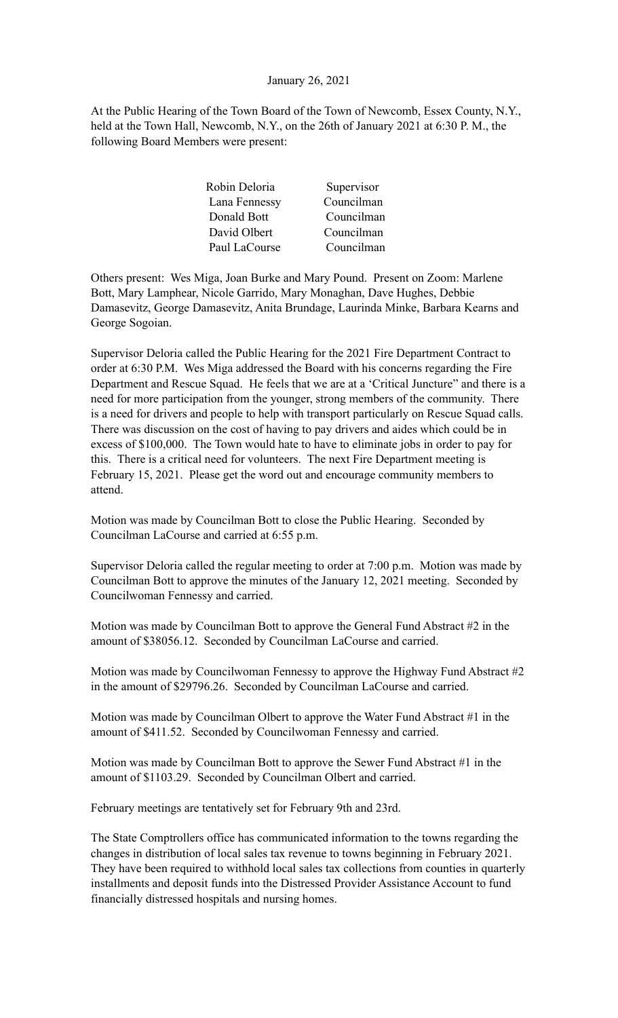# January 26, 2021

At the Public Hearing of the Town Board of the Town of Newcomb, Essex County, N.Y., held at the Town Hall, Newcomb, N.Y., on the 26th of January 2021 at 6:30 P. M., the following Board Members were present:

| Supervisor |
|------------|
| Councilman |
| Councilman |
| Councilman |
| Councilman |
|            |

Others present: Wes Miga, Joan Burke and Mary Pound. Present on Zoom: Marlene Bott, Mary Lamphear, Nicole Garrido, Mary Monaghan, Dave Hughes, Debbie Damasevitz, George Damasevitz, Anita Brundage, Laurinda Minke, Barbara Kearns and George Sogoian.

Supervisor Deloria called the Public Hearing for the 2021 Fire Department Contract to order at 6:30 P.M. Wes Miga addressed the Board with his concerns regarding the Fire Department and Rescue Squad. He feels that we are at a 'Critical Juncture" and there is a need for more participation from the younger, strong members of the community. There is a need for drivers and people to help with transport particularly on Rescue Squad calls. There was discussion on the cost of having to pay drivers and aides which could be in excess of \$100,000. The Town would hate to have to eliminate jobs in order to pay for this. There is a critical need for volunteers. The next Fire Department meeting is February 15, 2021. Please get the word out and encourage community members to attend.

Motion was made by Councilman Bott to close the Public Hearing. Seconded by Councilman LaCourse and carried at 6:55 p.m.

Supervisor Deloria called the regular meeting to order at 7:00 p.m. Motion was made by Councilman Bott to approve the minutes of the January 12, 2021 meeting. Seconded by Councilwoman Fennessy and carried.

Motion was made by Councilman Bott to approve the General Fund Abstract #2 in the amount of \$38056.12. Seconded by Councilman LaCourse and carried.

Motion was made by Councilwoman Fennessy to approve the Highway Fund Abstract #2 in the amount of \$29796.26. Seconded by Councilman LaCourse and carried.

Motion was made by Councilman Olbert to approve the Water Fund Abstract #1 in the amount of \$411.52. Seconded by Councilwoman Fennessy and carried.

Motion was made by Councilman Bott to approve the Sewer Fund Abstract #1 in the amount of \$1103.29. Seconded by Councilman Olbert and carried.

February meetings are tentatively set for February 9th and 23rd.

The State Comptrollers office has communicated information to the towns regarding the changes in distribution of local sales tax revenue to towns beginning in February 2021. They have been required to withhold local sales tax collections from counties in quarterly installments and deposit funds into the Distressed Provider Assistance Account to fund financially distressed hospitals and nursing homes.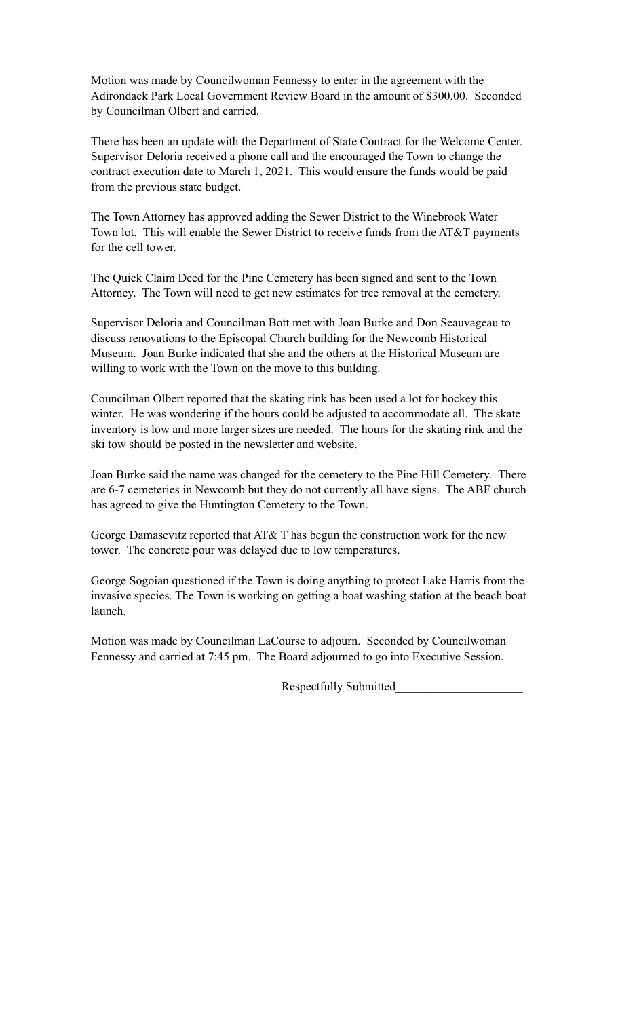Motion was made by Councilwoman Fennessy to enter in the agreement with the Adirondack Park Local Government Review Board in the amount of \$300.00. Seconded by Councilman Olbert and carried.

There has been an update with the Department of State Contract for the Welcome Center. Supervisor Deloria received a phone call and the encouraged the Town to change the contract execution date to March 1, 2021. This would ensure the funds would be paid from the previous state budget.

The Town Attorney has approved adding the Sewer District to the Winebrook Water Town lot. This will enable the Sewer District to receive funds from the AT&T payments for the cell tower.

The Quick Claim Deed for the Pine Cemetery has been signed and sent to the Town Attorney. The Town will need to get new estimates for tree removal at the cemetery.

Supervisor Deloria and Councilman Bott met with Joan Burke and Don Seauvageau to discuss renovations to the Episcopal Church building for the Newcomb Historical Museum. Joan Burke indicated that she and the others at the Historical Museum are willing to work with the Town on the move to this building.

Councilman Olbert reported that the skating rink has been used a lot for hockey this winter. He was wondering if the hours could be adjusted to accommodate all. The skate inventory is low and more larger sizes are needed. The hours for the skating rink and the ski tow should be posted in the newsletter and website.

Joan Burke said the name was changed for the cemetery to the Pine Hill Cemetery. There are 6-7 cemeteries in Newcomb but they do not currently all have signs. The ABF church has agreed to give the Huntington Cemetery to the Town.

George Damasevitz reported that AT& T has begun the construction work for the new tower. The concrete pour was delayed due to low temperatures.

George Sogoian questioned if the Town is doing anything to protect Lake Harris from the invasive species. The Town is working on getting a boat washing station at the beach boat launch.

Motion was made by Councilman LaCourse to adjourn. Seconded by Councilwoman Fennessy and carried at 7:45 pm. The Board adjourned to go into Executive Session.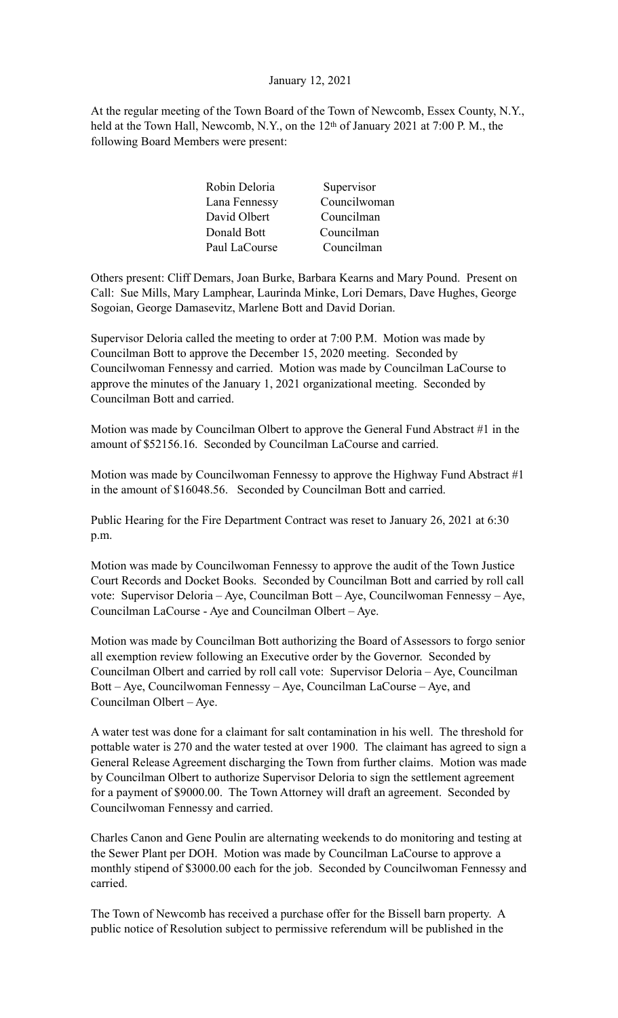# January 12, 2021

At the regular meeting of the Town Board of the Town of Newcomb, Essex County, N.Y., held at the Town Hall, Newcomb, N.Y., on the 12<sup>th</sup> of January 2021 at 7:00 P.M., the following Board Members were present:

| Robin Deloria | Supervisor   |
|---------------|--------------|
| Lana Fennessy | Councilwoman |
| David Olbert  | Councilman   |
| Donald Bott   | Councilman   |
| Paul LaCourse | Councilman   |

Others present: Cliff Demars, Joan Burke, Barbara Kearns and Mary Pound. Present on Call: Sue Mills, Mary Lamphear, Laurinda Minke, Lori Demars, Dave Hughes, George Sogoian, George Damasevitz, Marlene Bott and David Dorian.

Supervisor Deloria called the meeting to order at 7:00 P.M. Motion was made by Councilman Bott to approve the December 15, 2020 meeting. Seconded by Councilwoman Fennessy and carried. Motion was made by Councilman LaCourse to approve the minutes of the January 1, 2021 organizational meeting. Seconded by Councilman Bott and carried.

Motion was made by Councilman Olbert to approve the General Fund Abstract #1 in the amount of \$52156.16. Seconded by Councilman LaCourse and carried.

Motion was made by Councilwoman Fennessy to approve the Highway Fund Abstract  $\#1$ in the amount of \$16048.56. Seconded by Councilman Bott and carried.

Public Hearing for the Fire Department Contract was reset to January 26, 2021 at 6:30 p.m.

Motion was made by Councilwoman Fennessy to approve the audit of the Town Justice Court Records and Docket Books. Seconded by Councilman Bott and carried by roll call vote: Supervisor Deloria – Aye, Councilman Bott – Aye, Councilwoman Fennessy – Aye, Councilman LaCourse - Aye and Councilman Olbert – Aye.

Motion was made by Councilman Bott authorizing the Board of Assessors to forgo senior all exemption review following an Executive order by the Governor. Seconded by Councilman Olbert and carried by roll call vote: Supervisor Deloria – Aye, Councilman Bott – Aye, Councilwoman Fennessy – Aye, Councilman LaCourse – Aye, and Councilman Olbert – Aye.

A water test was done for a claimant for salt contamination in his well. The threshold for pottable water is 270 and the water tested at over 1900. The claimant has agreed to sign a General Release Agreement discharging the Town from further claims. Motion was made by Councilman Olbert to authorize Supervisor Deloria to sign the settlement agreement for a payment of \$9000.00. The Town Attorney will draft an agreement. Seconded by Councilwoman Fennessy and carried.

Charles Canon and Gene Poulin are alternating weekends to do monitoring and testing at the Sewer Plant per DOH. Motion was made by Councilman LaCourse to approve a monthly stipend of \$3000.00 each for the job. Seconded by Councilwoman Fennessy and carried.

The Town of Newcomb has received a purchase offer for the Bissell barn property. A public notice of Resolution subject to permissive referendum will be published in the